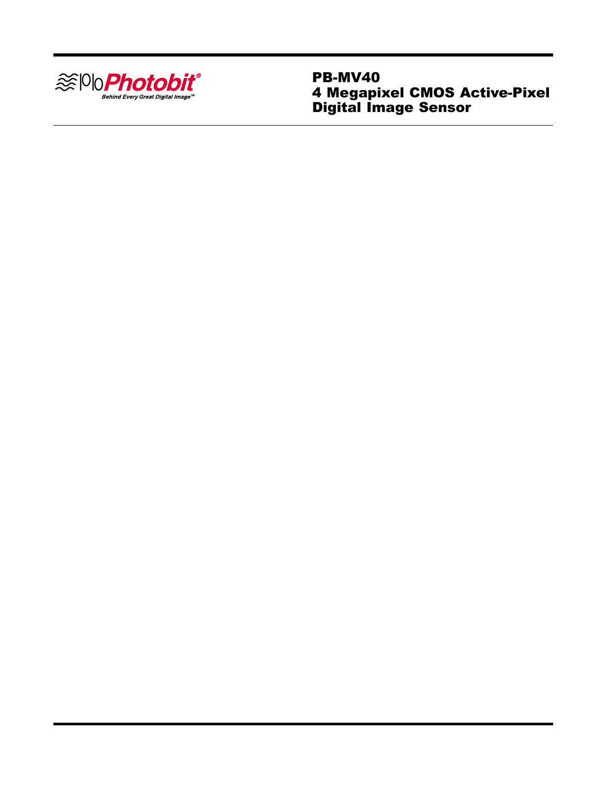

PB-MV40 4 Megapixel CMOS Active-Pixel Digital Image Sensor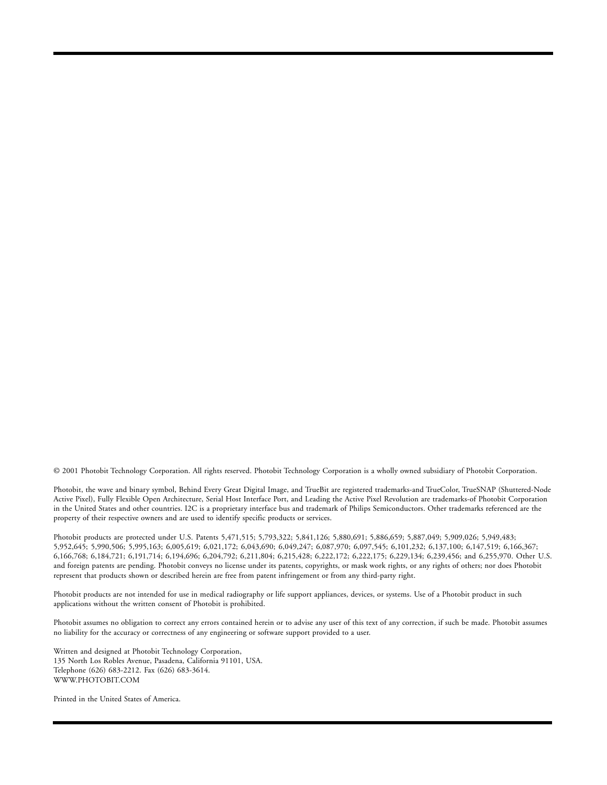© 2001 Photobit Technology Corporation. All rights reserved. Photobit Technology Corporation is a wholly owned subsidiary of Photobit Corporation.

Photobit, the wave and binary symbol, Behind Every Great Digital Image, and TrueBit are registered trademarks-and TrueColor, TrueSNAP (Shuttered-Node Active Pixel), Fully Flexible Open Architecture, Serial Host Interface Port, and Leading the Active Pixel Revolution are trademarks-of Photobit Corporation in the United States and other countries. I2C is a proprietary interface bus and trademark of Philips Semiconductors. Other trademarks referenced are the property of their respective owners and are used to identify specific products or services.

Photobit products are protected under U.S. Patents 5,471,515; 5,793,322; 5,841,126; 5,880,691; 5,886,659; 5,887,049; 5,909,026; 5,949,483; 5,952,645; 5,990,506; 5,995,163; 6,005,619; 6,021,172; 6,043,690; 6,049,247; 6,087,970; 6,097,545; 6,101,232; 6,137,100; 6,147,519; 6,166,367; 6,166,768; 6,184,721; 6,191,714; 6,194,696; 6,204,792; 6,211,804; 6,215,428; 6,222,172; 6,222,175; 6,229,134; 6,239,456; and 6,255,970. Other U.S. and foreign patents are pending. Photobit conveys no license under its patents, copyrights, or mask work rights, or any rights of others; nor does Photobit represent that products shown or described herein are free from patent infringement or from any third-party right.

Photobit products are not intended for use in medical radiography or life support appliances, devices, or systems. Use of a Photobit product in such applications without the written consent of Photobit is prohibited.

Photobit assumes no obligation to correct any errors contained herein or to advise any user of this text of any correction, if such be made. Photobit assumes no liability for the accuracy or correctness of any engineering or software support provided to a user.

Written and designed at Photobit Technology Corporation, 135 North Los Robles Avenue, Pasadena, California 91101, USA. Telephone (626) 683-2212. Fax (626) 683-3614. WWW.PHOTOBIT.COM

Printed in the United States of America.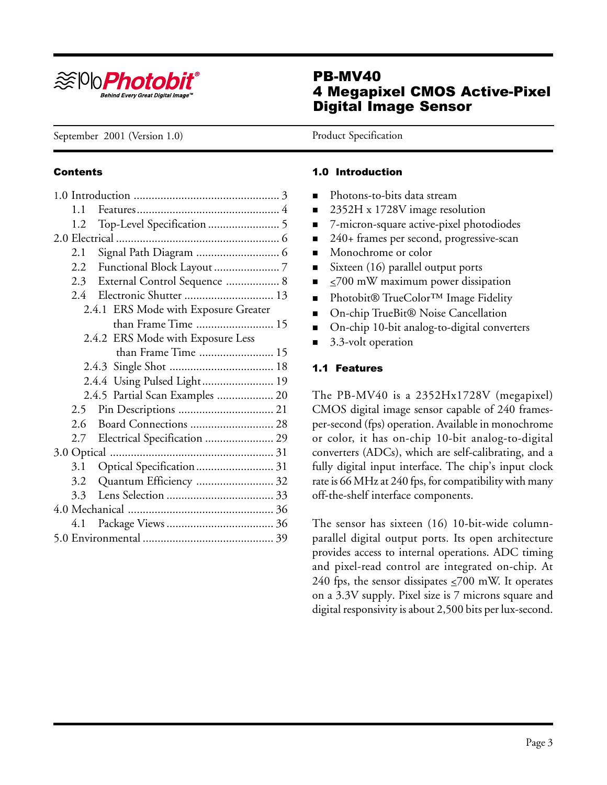

# PB-MV40 4 Megapixel CMOS Active-Pixel Digital Image Sensor

September 2001 (Version 1.0) Product Specification

### **Contents**

### 1.0 Introduction

- Photons-to-bits data stream
- 2352H x 1728V image resolution
- 7-micron-square active-pixel photodiodes
- 240+ frames per second, progressive-scan
- Monochrome or color
- Sixteen (16) parallel output ports
- $\leq$ 700 mW maximum power dissipation
- Photobit® TrueColor<sup>TM</sup> Image Fidelity
- On-chip TrueBit® Noise Cancellation
- On-chip 10-bit analog-to-digital converters
- 3.3-volt operation

### 1.1 Features

The PB-MV40 is a 2352Hx1728V (megapixel) CMOS digital image sensor capable of 240 framesper-second (fps) operation. Available in monochrome or color, it has on-chip 10-bit analog-to-digital converters (ADCs), which are self-calibrating, and a fully digital input interface. The chip's input clock rate is 66 MHz at 240 fps, for compatibility with many off-the-shelf interface components.

The sensor has sixteen (16) 10-bit-wide columnparallel digital output ports. Its open architecture provides access to internal operations. ADC timing and pixel-read control are integrated on-chip. At 240 fps, the sensor dissipates  $\leq$ 700 mW. It operates on a 3.3V supply. Pixel size is 7 microns square and digital responsivity is about 2,500 bits per lux-second.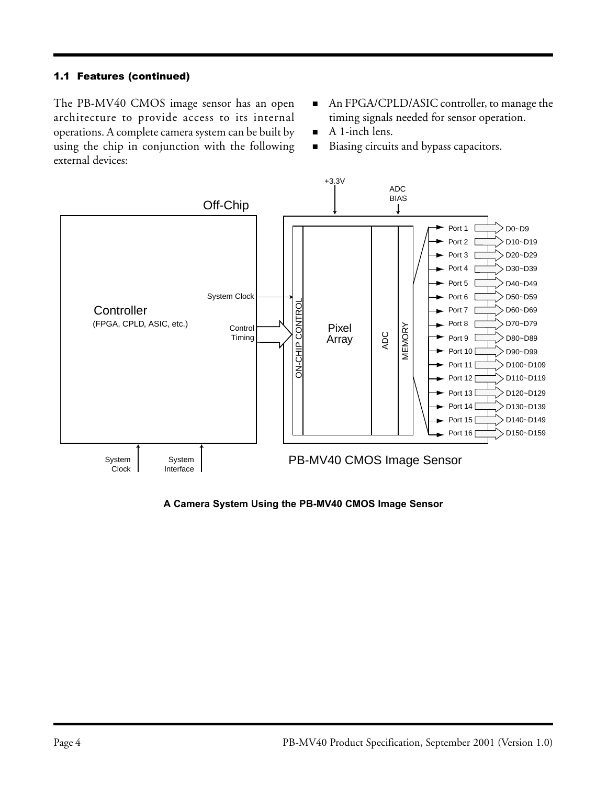### 1.1 Features (continued)

The PB-MV40 CMOS image sensor has an open architecture to provide access to its internal operations. A complete camera system can be built by using the chip in conjunction with the following external devices:

- An FPGA/CPLD/ASIC controller, to manage the timing signals needed for sensor operation.
- A 1-inch lens.
- Biasing circuits and bypass capacitors.



**A Camera System Using the PB-MV40 CMOS Image Sensor**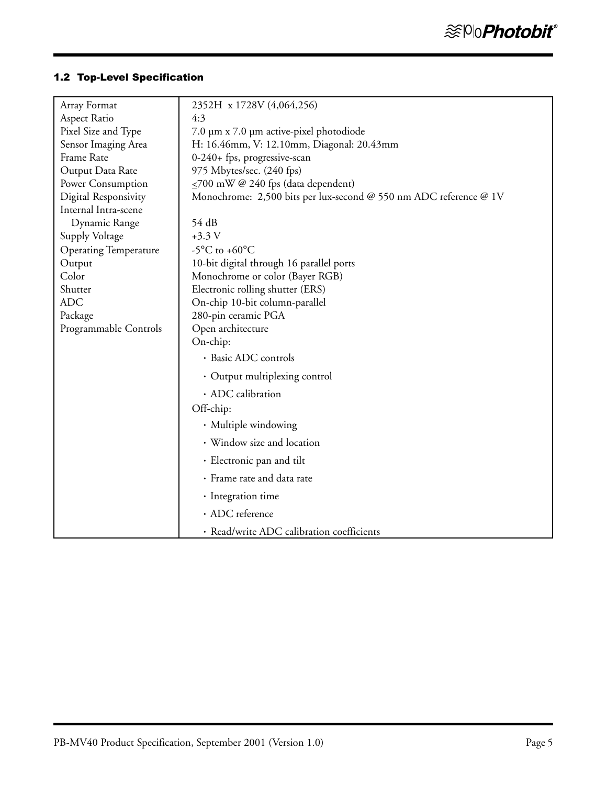# 1.2 Top-Level Specification

| Array Format                 | 2352H x 1728V (4,064,256)                                         |
|------------------------------|-------------------------------------------------------------------|
| Aspect Ratio                 | 4:3                                                               |
| Pixel Size and Type          | 7.0 µm x 7.0 µm active-pixel photodiode                           |
| Sensor Imaging Area          | H: 16.46mm, V: 12.10mm, Diagonal: 20.43mm                         |
| Frame Rate                   | 0-240+ fps, progressive-scan                                      |
| Output Data Rate             | 975 Mbytes/sec. (240 fps)                                         |
| Power Consumption            | $\leq$ 700 mW @ 240 fps (data dependent)                          |
| Digital Responsivity         | Monochrome: 2,500 bits per lux-second @ 550 nm ADC reference @ 1V |
| Internal Intra-scene         |                                                                   |
| Dynamic Range                | 54 dB                                                             |
| Supply Voltage               | $+3.3 V$                                                          |
| <b>Operating Temperature</b> | -5°C to +60°C                                                     |
| Output                       | 10-bit digital through 16 parallel ports                          |
| Color                        | Monochrome or color (Bayer RGB)                                   |
| Shutter                      | Electronic rolling shutter (ERS)                                  |
| <b>ADC</b>                   | On-chip 10-bit column-parallel                                    |
| Package                      | 280-pin ceramic PGA                                               |
| Programmable Controls        | Open architecture                                                 |
|                              | On-chip:                                                          |
|                              | · Basic ADC controls                                              |
|                              | • Output multiplexing control                                     |
|                              | · ADC calibration                                                 |
|                              | Off-chip:                                                         |
|                              | · Multiple windowing                                              |
|                              | · Window size and location                                        |
|                              | · Electronic pan and tilt                                         |
|                              | · Frame rate and data rate                                        |
|                              | · Integration time                                                |
|                              | · ADC reference                                                   |
|                              | · Read/write ADC calibration coefficients                         |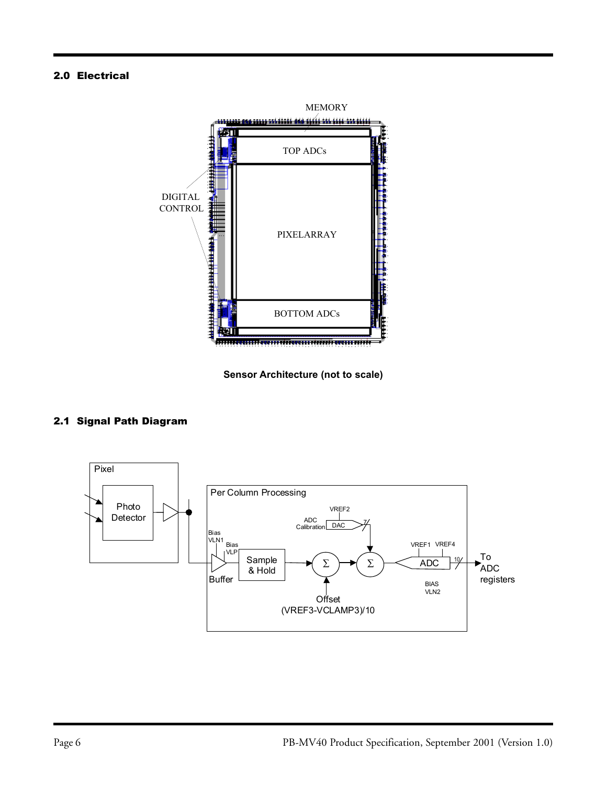### 2.0 Electrical



**Sensor Architecture (not to scale)**

# 2.1 Signal Path Diagram

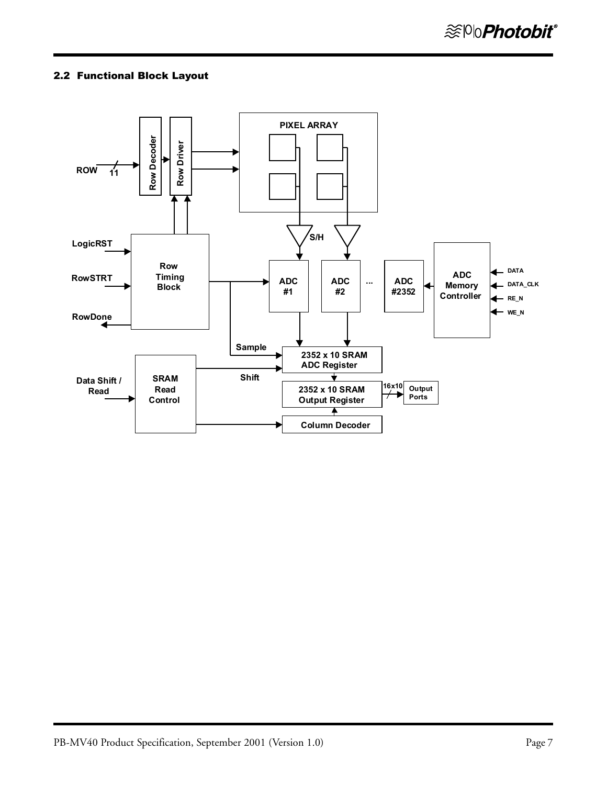### 2.2 Functional Block Layout

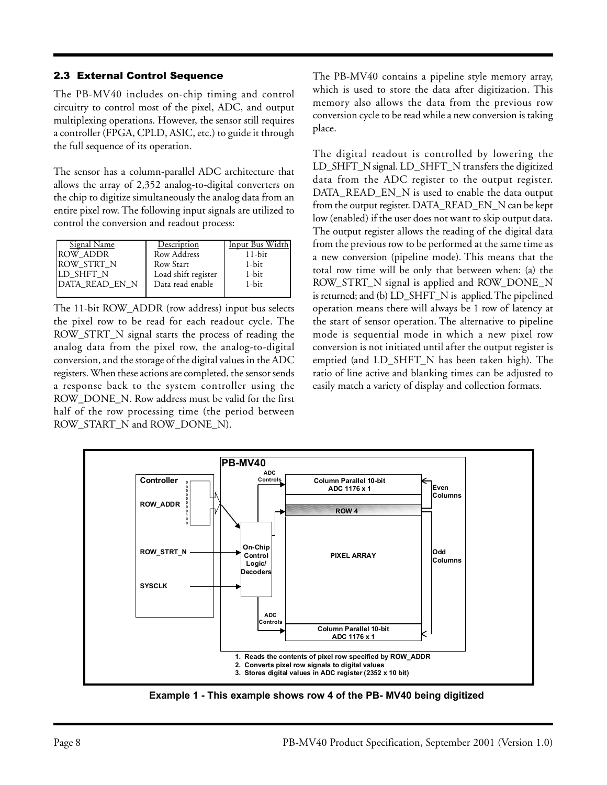### 2.3 External Control Sequence

The PB-MV40 includes on-chip timing and control circuitry to control most of the pixel, ADC, and output multiplexing operations. However, the sensor still requires a controller (FPGA, CPLD, ASIC, etc.) to guide it through the full sequence of its operation.

The sensor has a column-parallel ADC architecture that allows the array of 2,352 analog-to-digital converters on the chip to digitize simultaneously the analog data from an entire pixel row. The following input signals are utilized to control the conversion and readout process:

| <b>Signal Name</b> | Description         | Input Bus Width |
|--------------------|---------------------|-----------------|
| <b>ROW ADDR</b>    | Row Address         | $11$ -bit       |
| ROW_STRT_N         | Row Start           | 1-bit           |
| LD SHFT N          | Load shift register | 1-bit           |
| DATA READ EN N     | Data read enable    | 1-bit           |
|                    |                     |                 |

The 11-bit ROW\_ADDR (row address) input bus selects the pixel row to be read for each readout cycle. The ROW\_STRT\_N signal starts the process of reading the analog data from the pixel row, the analog-to-digital conversion, and the storage of the digital values in the ADC registers. When these actions are completed, the sensor sends a response back to the system controller using the ROW\_DONE\_N. Row address must be valid for the first half of the row processing time (the period between ROW\_START\_N and ROW\_DONE\_N).

The PB-MV40 contains a pipeline style memory array, which is used to store the data after digitization. This memory also allows the data from the previous row conversion cycle to be read while a new conversion is taking place.

The digital readout is controlled by lowering the LD\_SHFT\_N signal. LD\_SHFT\_N transfers the digitized data from the ADC register to the output register. DATA\_READ\_EN\_N is used to enable the data output from the output register. DATA\_READ\_EN\_N can be kept low (enabled) if the user does not want to skip output data. The output register allows the reading of the digital data from the previous row to be performed at the same time as a new conversion (pipeline mode). This means that the total row time will be only that between when: (a) the ROW\_STRT\_N signal is applied and ROW\_DONE\_N is returned; and (b) LD\_SHFT\_N is applied. The pipelined operation means there will always be 1 row of latency at the start of sensor operation. The alternative to pipeline mode is sequential mode in which a new pixel row conversion is not initiated until after the output register is emptied (and LD\_SHFT\_N has been taken high). The ratio of line active and blanking times can be adjusted to easily match a variety of display and collection formats.



 **Example 1 - This example shows row 4 of the PB- MV40 being digitized**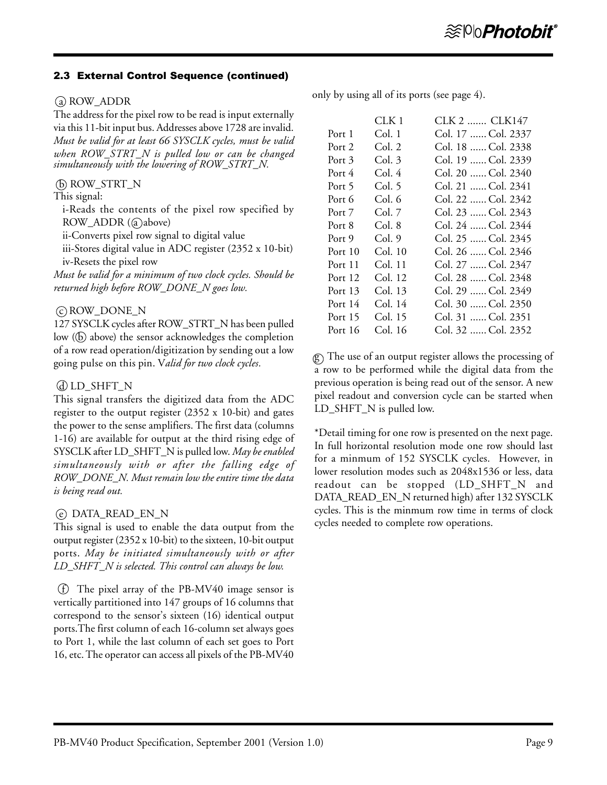### 2.3 External Control Sequence (continued)

### (a) ROW ADDR

The address for the pixel row to be read is input externally via this 11-bit input bus. Addresses above 1728 are invalid. *Must be valid for at least 66 SYSCLK cycles, must be valid when ROW\_STRT\_N is pulled low or can be changed simultaneously with the lowering of ROW\_STRT\_N.*

### b ROW\_STRT\_N

#### This signal:

i-Reads the contents of the pixel row specified by ROW\_ADDR (@above)

ii-Converts pixel row signal to digital value

iii-Stores digital value in ADC register (2352 x 10-bit) iv-Resets the pixel row

*Must be valid for a minimum of two clock cycles. Should be returned high before ROW\_DONE\_N goes low.*

### c ROW\_DONE\_N

127 SYSCLK cycles after ROW\_STRT\_N has been pulled low  $(6)$  above) the sensor acknowledges the completion of a row read operation/digitization by sending out a low going pulse on this pin. V*alid for two clock cycles.*

### d LD\_SHFT\_N

This signal transfers the digitized data from the ADC register to the output register (2352 x 10-bit) and gates the power to the sense amplifiers. The first data (columns 1-16) are available for output at the third rising edge of SYSCLK after LD\_SHFT\_N is pulled low. *May be enabled simultaneously with or after the falling edge of ROW\_DONE\_N. Must remain low the entire time the data is being read out.*

### e DATA\_READ\_EN\_N

This signal is used to enable the data output from the output register (2352 x 10-bit) to the sixteen, 10-bit output ports. *May be initiated simultaneously with or after LD\_SHFT\_N is selected. This control can always be low.*

(f) The pixel array of the PB-MV40 image sensor is vertically partitioned into 147 groups of 16 columns that correspond to the sensor's sixteen (16) identical output ports.The first column of each 16-column set always goes to Port 1, while the last column of each set goes to Port 16, etc. The operator can access all pixels of the PB-MV40 only by using all of its ports (see page 4).

|         | CLK 1   | CLK 2  CLK147      |
|---------|---------|--------------------|
| Port 1  | Col. 1  | Col. 17  Col. 2337 |
| Port 2  | Col. 2  | Col. 18  Col. 2338 |
| Port 3  | Col. 3  | Col. 19  Col. 2339 |
| Port 4  | Col. 4  | Col. 20  Col. 2340 |
| Port 5  | Col. 5  | Col. 21  Col. 2341 |
| Port 6  | Col. 6  | Col. 22  Col. 2342 |
| Port 7  | Col. 7  | Col. 23  Col. 2343 |
| Port 8  | Col. 8  | Col. 24  Col. 2344 |
| Port 9  | Col. 9  | Col. 25  Col. 2345 |
| Port 10 | Col. 10 | Col. 26  Col. 2346 |
| Port 11 | Col. 11 | Col. 27  Col. 2347 |
| Port 12 | Col. 12 | Col. 28  Col. 2348 |
| Port 13 | Col. 13 | Col. 29  Col. 2349 |
| Port 14 | Col. 14 | Col. 30  Col. 2350 |
| Port 15 | Col. 15 | Col. 31  Col. 2351 |
| Port 16 | Col. 16 | Col. 32  Col. 2352 |

 $\circled{g}$ ) The use of an output register allows the processing of a row to be performed while the digital data from the previous operation is being read out of the sensor. A new pixel readout and conversion cycle can be started when LD\_SHFT\_N is pulled low.

\*Detail timing for one row is presented on the next page. In full horizontal resolution mode one row should last for a minmum of 152 SYSCLK cycles. However, in lower resolution modes such as 2048x1536 or less, data readout can be stopped (LD\_SHFT\_N and DATA\_READ\_EN\_N returned high) after 132 SYSCLK cycles. This is the minmum row time in terms of clock cycles needed to complete row operations.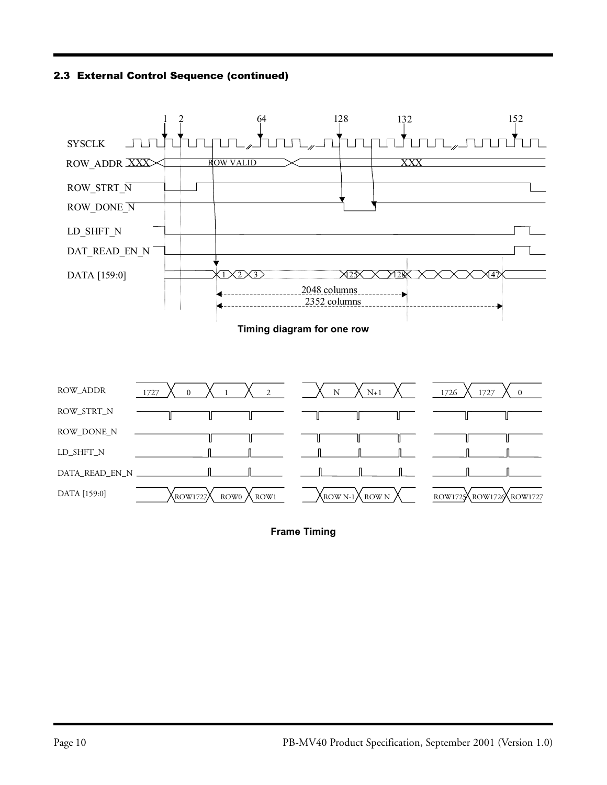2.3 External Control Sequence (continued)



**Frame Timing**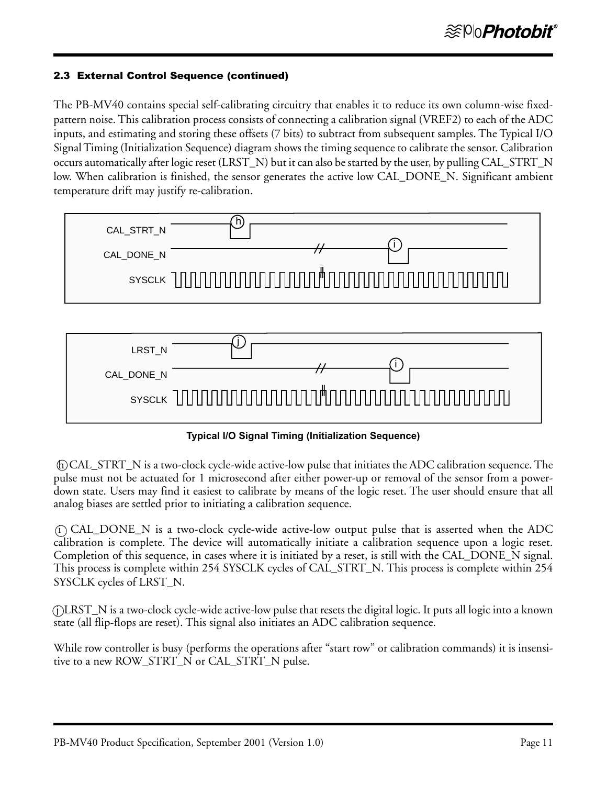### 2.3 External Control Sequence (continued)

The PB-MV40 contains special self-calibrating circuitry that enables it to reduce its own column-wise fixedpattern noise. This calibration process consists of connecting a calibration signal (VREF2) to each of the ADC inputs, and estimating and storing these offsets (7 bits) to subtract from subsequent samples. The Typical I/O Signal Timing (Initialization Sequence) diagram shows the timing sequence to calibrate the sensor. Calibration occurs automatically after logic reset (LRST\_N) but it can also be started by the user, by pulling CAL\_STRT\_N low. When calibration is finished, the sensor generates the active low CAL\_DONE\_N. Significant ambient temperature drift may justify re-calibration.





**Typical I/O Signal Timing (Initialization Sequence)**

 h CAL\_STRT\_N is a two-clock cycle-wide active-low pulse that initiates the ADC calibration sequence. The pulse must not be actuated for 1 microsecond after either power-up or removal of the sensor from a powerdown state. Users may find it easiest to calibrate by means of the logic reset. The user should ensure that all analog biases are settled prior to initiating a calibration sequence.

 i CAL\_DONE\_N is a two-clock cycle-wide active-low output pulse that is asserted when the ADC calibration is complete. The device will automatically initiate a calibration sequence upon a logic reset. Completion of this sequence, in cases where it is initiated by a reset, is still with the CAL\_DONE\_N signal. This process is complete within 254 SYSCLK cycles of CAL\_STRT\_N. This process is complete within 254 SYSCLK cycles of LRST\_N.

 j LRST\_N is a two-clock cycle-wide active-low pulse that resets the digital logic. It puts all logic into a known state (all flip-flops are reset). This signal also initiates an ADC calibration sequence.

While row controller is busy (performs the operations after "start row" or calibration commands) it is insensitive to a new ROW\_STRT\_N or CAL\_STRT\_N pulse.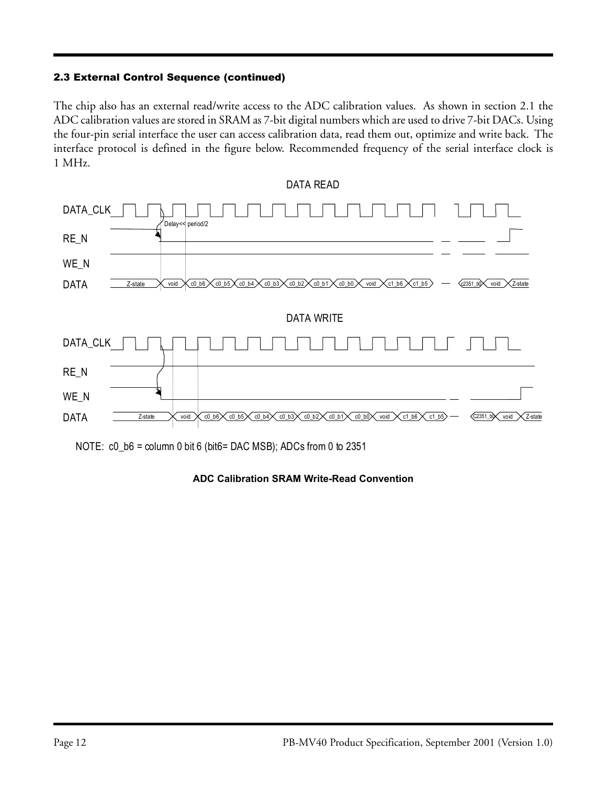## 2.3 External Control Sequence (continued)

The chip also has an external read/write access to the ADC calibration values. As shown in section 2.1 the ADC calibration values are stored in SRAM as 7-bit digital numbers which are used to drive 7-bit DACs. Using the four-pin serial interface the user can access calibration data, read them out, optimize and write back. The interface protocol is defined in the figure below. Recommended frequency of the serial interface clock is 1 MHz.



NOTE: c0\_b6 = column 0 bit 6 (bit6= DAC MSB); ADCs from 0 to 2351

### **ADC Calibration SRAM Write-Read Convention**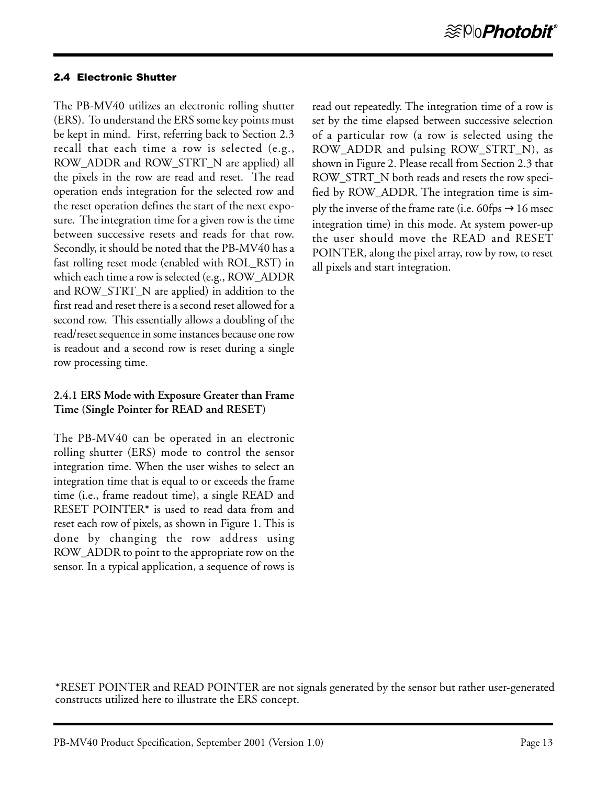### 2.4 Electronic Shutter

The PB-MV40 utilizes an electronic rolling shutter (ERS). To understand the ERS some key points must be kept in mind. First, referring back to Section 2.3 recall that each time a row is selected (e.g., ROW\_ADDR and ROW\_STRT\_N are applied) all the pixels in the row are read and reset. The read operation ends integration for the selected row and the reset operation defines the start of the next exposure. The integration time for a given row is the time between successive resets and reads for that row. Secondly, it should be noted that the PB-MV40 has a fast rolling reset mode (enabled with ROL\_RST) in which each time a row is selected (e.g., ROW\_ADDR and ROW\_STRT\_N are applied) in addition to the first read and reset there is a second reset allowed for a second row. This essentially allows a doubling of the read/reset sequence in some instances because one row is readout and a second row is reset during a single row processing time.

## **2.4.1 ERS Mode with Exposure Greater than Frame Time (Single Pointer for READ and RESET)**

The PB-MV40 can be operated in an electronic rolling shutter (ERS) mode to control the sensor integration time. When the user wishes to select an integration time that is equal to or exceeds the frame time (i.e., frame readout time), a single READ and RESET POINTER**\*** is used to read data from and reset each row of pixels, as shown in Figure 1. This is done by changing the row address using ROW\_ADDR to point to the appropriate row on the sensor. In a typical application, a sequence of rows is read out repeatedly. The integration time of a row is set by the time elapsed between successive selection of a particular row (a row is selected using the ROW\_ADDR and pulsing ROW\_STRT\_N), as shown in Figure 2. Please recall from Section 2.3 that ROW\_STRT\_N both reads and resets the row specified by ROW\_ADDR. The integration time is simply the inverse of the frame rate (i.e. 60fps  $\rightarrow$ 16 msec integration time) in this mode. At system power-up the user should move the READ and RESET POINTER, along the pixel array, row by row, to reset all pixels and start integration.

**\***RESET POINTER and READ POINTER are not signals generated by the sensor but rather user-generated constructs utilized here to illustrate the ERS concept.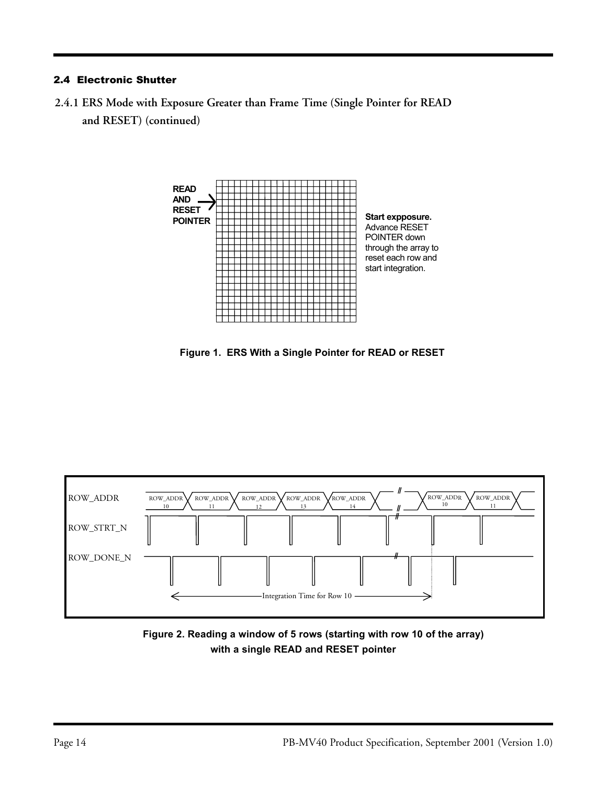### 2.4 Electronic Shutter

**2.4.1 ERS Mode with Exposure Greater than Frame Time (Single Pointer for READ and RESET) (continued)**



 **Figure 1. ERS With a Single Pointer for READ or RESET**



 **Figure 2. Reading a window of 5 rows (starting with row 10 of the array) with a single READ and RESET pointer**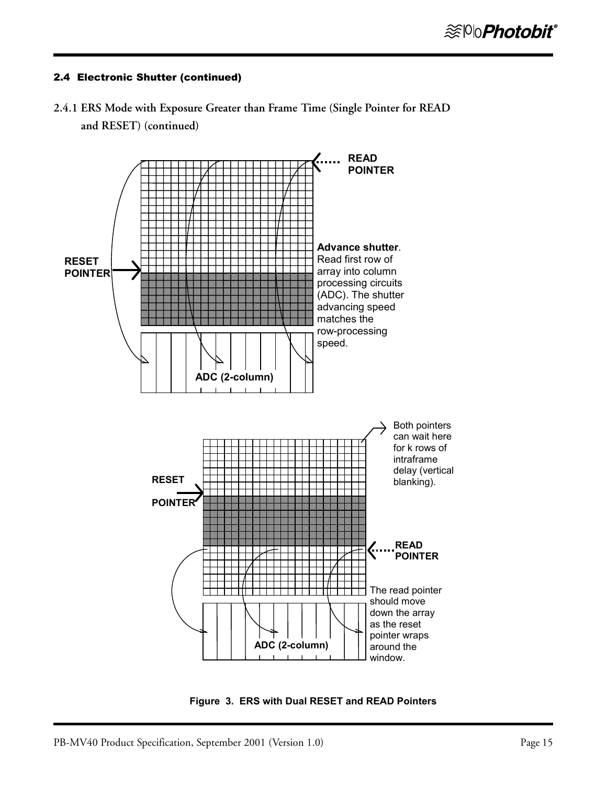



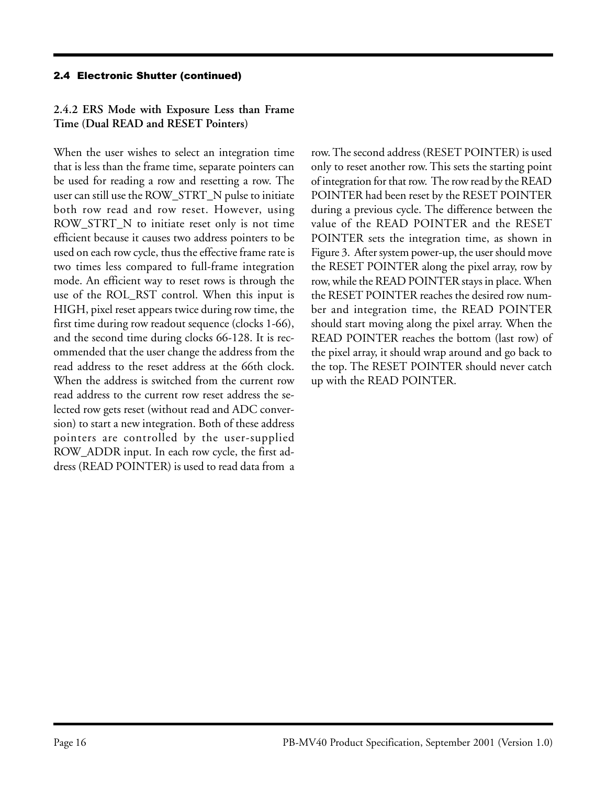# **2.4.2 ERS Mode with Exposure Less than Frame Time (Dual READ and RESET Pointers)**

When the user wishes to select an integration time that is less than the frame time, separate pointers can be used for reading a row and resetting a row. The user can still use the ROW\_STRT\_N pulse to initiate both row read and row reset. However, using ROW\_STRT\_N to initiate reset only is not time efficient because it causes two address pointers to be used on each row cycle, thus the effective frame rate is two times less compared to full-frame integration mode. An efficient way to reset rows is through the use of the ROL\_RST control. When this input is HIGH, pixel reset appears twice during row time, the first time during row readout sequence (clocks 1-66), and the second time during clocks 66-128. It is recommended that the user change the address from the read address to the reset address at the 66th clock. When the address is switched from the current row read address to the current row reset address the selected row gets reset (without read and ADC conversion) to start a new integration. Both of these address pointers are controlled by the user-supplied ROW\_ADDR input. In each row cycle, the first address (READ POINTER) is used to read data from a row. The second address (RESET POINTER) is used only to reset another row. This sets the starting point of integration for that row. The row read by the READ POINTER had been reset by the RESET POINTER during a previous cycle. The difference between the value of the READ POINTER and the RESET POINTER sets the integration time, as shown in Figure 3. After system power-up, the user should move the RESET POINTER along the pixel array, row by row, while the READ POINTER stays in place. When the RESET POINTER reaches the desired row number and integration time, the READ POINTER should start moving along the pixel array. When the READ POINTER reaches the bottom (last row) of the pixel array, it should wrap around and go back to the top. The RESET POINTER should never catch up with the READ POINTER.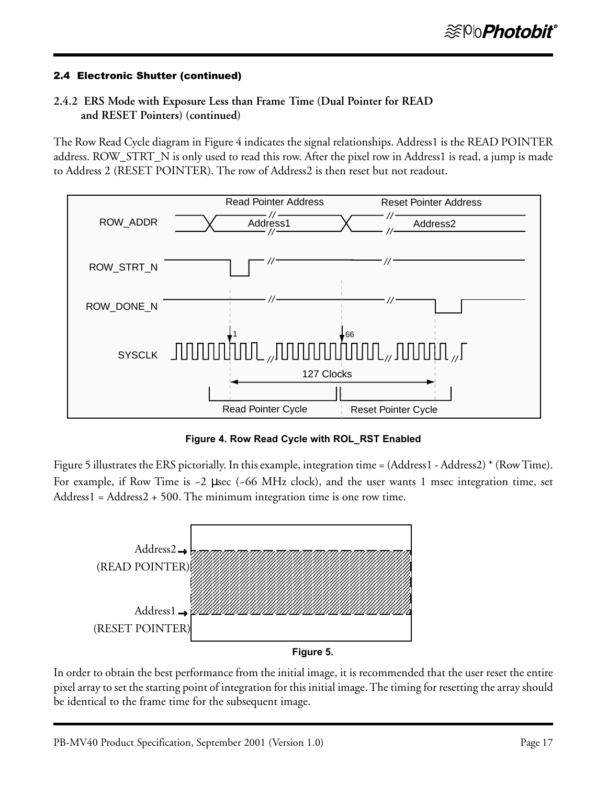# **2.4.2 ERS Mode with Exposure Less than Frame Time (Dual Pointer for READ and RESET Pointers) (continued)**

The Row Read Cycle diagram in Figure 4 indicates the signal relationships. Address1 is the READ POINTER address. ROW\_STRT\_N is only used to read this row. After the pixel row in Address1 is read, a jump is made to Address 2 (RESET POINTER). The row of Address2 is then reset but not readout.



**Figure 4. Row Read Cycle with ROL\_RST Enabled**

Figure 5 illustrates the ERS pictorially. In this example, integration time = (Address1 - Address2) \* (Row Time). For example, if Row Time is ~2 µsec (~66 MHz clock), and the user wants 1 msec integration time, set Address1 = Address2 + 500. The minimum integration time is one row time.



In order to obtain the best performance from the initial image, it is recommended that the user reset the entire pixel array to set the starting point of integration for this initial image. The timing for resetting the array should be identical to the frame time for the subsequent image.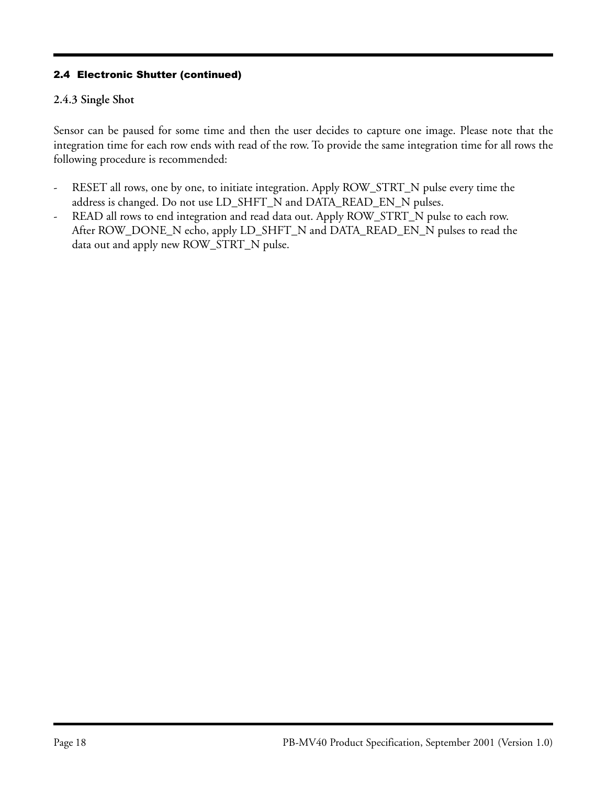# **2.4.3 Single Shot**

Sensor can be paused for some time and then the user decides to capture one image. Please note that the integration time for each row ends with read of the row. To provide the same integration time for all rows the following procedure is recommended:

- RESET all rows, one by one, to initiate integration. Apply ROW\_STRT\_N pulse every time the address is changed. Do not use LD\_SHFT\_N and DATA\_READ\_EN\_N pulses.
- READ all rows to end integration and read data out. Apply ROW\_STRT\_N pulse to each row. After ROW\_DONE\_N echo, apply LD\_SHFT\_N and DATA\_READ\_EN\_N pulses to read the data out and apply new ROW\_STRT\_N pulse.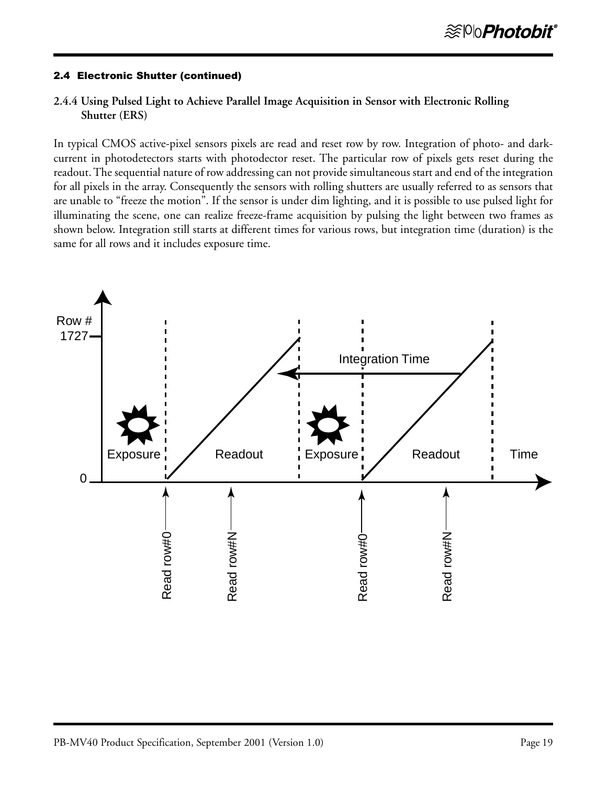### **2.4.4 Using Pulsed Light to Achieve Parallel Image Acquisition in Sensor with Electronic Rolling Shutter (ERS)**

In typical CMOS active-pixel sensors pixels are read and reset row by row. Integration of photo- and darkcurrent in photodetectors starts with photodector reset. The particular row of pixels gets reset during the readout. The sequential nature of row addressing can not provide simultaneous start and end of the integration for all pixels in the array. Consequently the sensors with rolling shutters are usually referred to as sensors that are unable to "freeze the motion". If the sensor is under dim lighting, and it is possible to use pulsed light for illuminating the scene, one can realize freeze-frame acquisition by pulsing the light between two frames as shown below. Integration still starts at different times for various rows, but integration time (duration) is the same for all rows and it includes exposure time.

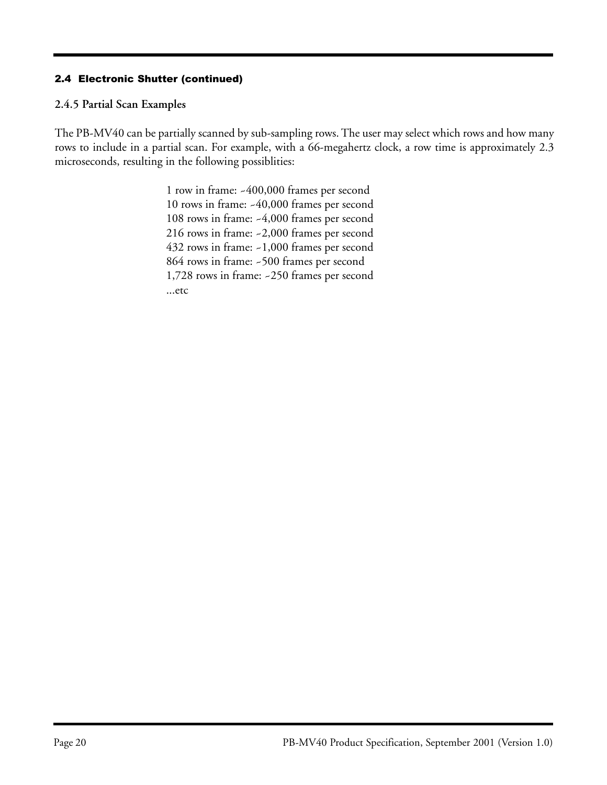### **2.4.5 Partial Scan Examples**

The PB-MV40 can be partially scanned by sub-sampling rows. The user may select which rows and how many rows to include in a partial scan. For example, with a 66-megahertz clock, a row time is approximately 2.3 microseconds, resulting in the following possiblities:

> 1 row in frame: ~400,000 frames per second 10 rows in frame: ~40,000 frames per second 108 rows in frame: ~4,000 frames per second 216 rows in frame: ~2,000 frames per second 432 rows in frame: ~1,000 frames per second 864 rows in frame: ~500 frames per second 1,728 rows in frame: ~250 frames per second ...etc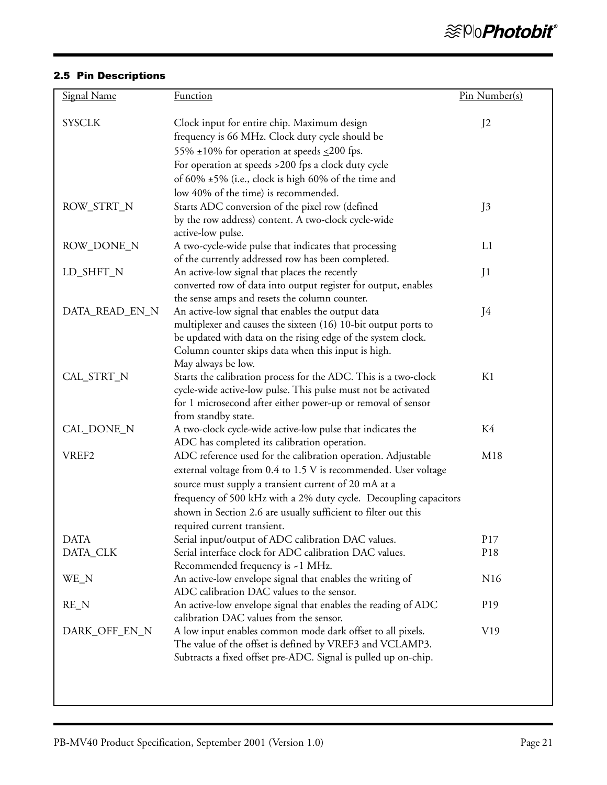### 2.5 Pin Descriptions

| <b>Signal Name</b> | <b>Function</b>                                                                                                                | Pin Number(s)   |
|--------------------|--------------------------------------------------------------------------------------------------------------------------------|-----------------|
| <b>SYSCLK</b>      | Clock input for entire chip. Maximum design<br>frequency is 66 MHz. Clock duty cycle should be                                 | J <sub>2</sub>  |
|                    | 55% ±10% for operation at speeds $\leq$ 200 fps.                                                                               |                 |
|                    | For operation at speeds >200 fps a clock duty cycle                                                                            |                 |
|                    | of 60% ±5% (i.e., clock is high 60% of the time and<br>low 40% of the time) is recommended.                                    |                 |
| ROW_STRT_N         | Starts ADC conversion of the pixel row (defined                                                                                | J3              |
|                    | by the row address) content. A two-clock cycle-wide<br>active-low pulse.                                                       |                 |
| ROW_DONE_N         | A two-cycle-wide pulse that indicates that processing                                                                          | L1              |
|                    | of the currently addressed row has been completed.                                                                             |                 |
| LD_SHFT_N          | An active-low signal that places the recently                                                                                  | J1              |
|                    | converted row of data into output register for output, enables                                                                 |                 |
|                    | the sense amps and resets the column counter.                                                                                  |                 |
| DATA_READ_EN_N     | An active-low signal that enables the output data                                                                              | J4              |
|                    | multiplexer and causes the sixteen (16) 10-bit output ports to<br>be updated with data on the rising edge of the system clock. |                 |
|                    | Column counter skips data when this input is high.                                                                             |                 |
|                    | May always be low.                                                                                                             |                 |
| CAL_STRT_N         | Starts the calibration process for the ADC. This is a two-clock                                                                | K1              |
|                    | cycle-wide active-low pulse. This pulse must not be activated                                                                  |                 |
|                    | for 1 microsecond after either power-up or removal of sensor                                                                   |                 |
|                    | from standby state.                                                                                                            |                 |
| CAL_DONE_N         | A two-clock cycle-wide active-low pulse that indicates the<br>ADC has completed its calibration operation.                     | K4              |
| VREF <sub>2</sub>  | ADC reference used for the calibration operation. Adjustable                                                                   | M18             |
|                    | external voltage from 0.4 to 1.5 V is recommended. User voltage                                                                |                 |
|                    | source must supply a transient current of 20 mA at a                                                                           |                 |
|                    | frequency of 500 kHz with a 2% duty cycle. Decoupling capacitors                                                               |                 |
|                    | shown in Section 2.6 are usually sufficient to filter out this                                                                 |                 |
|                    | required current transient.                                                                                                    |                 |
| <b>DATA</b>        | Serial input/output of ADC calibration DAC values.                                                                             | P17             |
| DATA_CLK           | Serial interface clock for ADC calibration DAC values.                                                                         | P18             |
| WE_N               | Recommended frequency is ~1 MHz.<br>An active-low envelope signal that enables the writing of                                  | N <sub>16</sub> |
|                    | ADC calibration DAC values to the sensor.                                                                                      |                 |
| $RE_N$             | An active-low envelope signal that enables the reading of ADC                                                                  | P <sub>19</sub> |
|                    | calibration DAC values from the sensor.                                                                                        |                 |
| DARK_OFF_EN_N      | A low input enables common mode dark offset to all pixels.                                                                     | V19             |
|                    | The value of the offset is defined by VREF3 and VCLAMP3.                                                                       |                 |
|                    | Subtracts a fixed offset pre-ADC. Signal is pulled up on-chip.                                                                 |                 |
|                    |                                                                                                                                |                 |
|                    |                                                                                                                                |                 |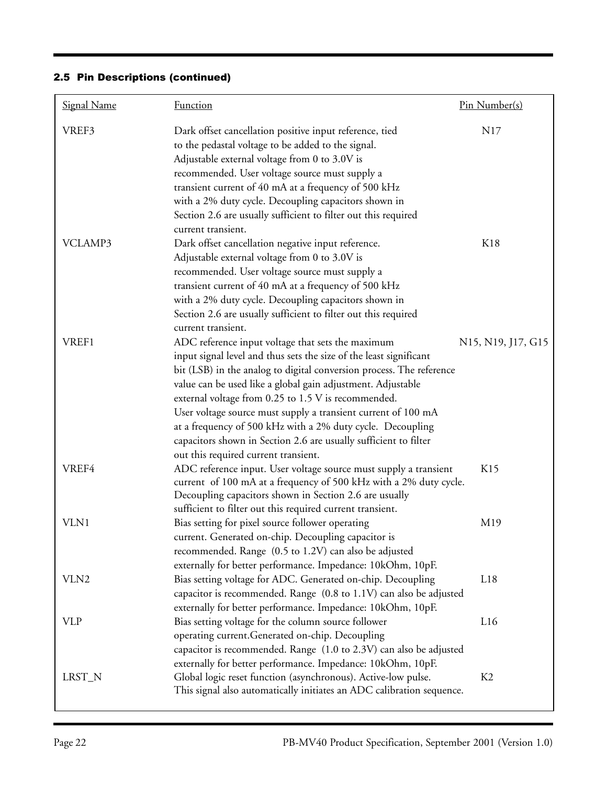| <b>Signal Name</b> | <b>Function</b>                                                                                                                                                                                                                                                                                                                                                                                                                                                                                                                                                  | <u>Pin Number(s)</u>                                                  |
|--------------------|------------------------------------------------------------------------------------------------------------------------------------------------------------------------------------------------------------------------------------------------------------------------------------------------------------------------------------------------------------------------------------------------------------------------------------------------------------------------------------------------------------------------------------------------------------------|-----------------------------------------------------------------------|
| VREF3              | Dark offset cancellation positive input reference, tied<br>to the pedastal voltage to be added to the signal.<br>Adjustable external voltage from 0 to 3.0V is<br>recommended. User voltage source must supply a<br>transient current of 40 mA at a frequency of 500 kHz<br>with a 2% duty cycle. Decoupling capacitors shown in<br>Section 2.6 are usually sufficient to filter out this required<br>current transient.                                                                                                                                         | N17                                                                   |
| VCLAMP3            | Dark offset cancellation negative input reference.<br>Adjustable external voltage from 0 to 3.0V is<br>recommended. User voltage source must supply a<br>transient current of 40 mA at a frequency of 500 kHz<br>with a 2% duty cycle. Decoupling capacitors shown in<br>Section 2.6 are usually sufficient to filter out this required<br>current transient.                                                                                                                                                                                                    | K18                                                                   |
| VREF1              | ADC reference input voltage that sets the maximum<br>input signal level and thus sets the size of the least significant<br>bit (LSB) in the analog to digital conversion process. The reference<br>value can be used like a global gain adjustment. Adjustable<br>external voltage from 0.25 to 1.5 V is recommended.<br>User voltage source must supply a transient current of 100 mA<br>at a frequency of 500 kHz with a 2% duty cycle. Decoupling<br>capacitors shown in Section 2.6 are usually sufficient to filter<br>out this required current transient. | N <sub>15</sub> , N <sub>19</sub> , J <sub>17</sub> , G <sub>15</sub> |
| VREF4              | ADC reference input. User voltage source must supply a transient<br>current of 100 mA at a frequency of 500 kHz with a 2% duty cycle.<br>Decoupling capacitors shown in Section 2.6 are usually<br>sufficient to filter out this required current transient.                                                                                                                                                                                                                                                                                                     | K15                                                                   |
| VLN1               | Bias setting for pixel source follower operating<br>current. Generated on-chip. Decoupling capacitor is<br>recommended. Range (0.5 to 1.2V) can also be adjusted<br>externally for better performance. Impedance: 10kOhm, 10pF.                                                                                                                                                                                                                                                                                                                                  | M19                                                                   |
| VLN2               | Bias setting voltage for ADC. Generated on-chip. Decoupling<br>capacitor is recommended. Range (0.8 to 1.1V) can also be adjusted<br>externally for better performance. Impedance: 10kOhm, 10pF.                                                                                                                                                                                                                                                                                                                                                                 | L18                                                                   |
| <b>VLP</b>         | Bias setting voltage for the column source follower<br>operating current.Generated on-chip. Decoupling<br>capacitor is recommended. Range (1.0 to 2.3V) can also be adjusted<br>externally for better performance. Impedance: 10kOhm, 10pF.                                                                                                                                                                                                                                                                                                                      | L16                                                                   |
| LRST_N             | Global logic reset function (asynchronous). Active-low pulse.<br>This signal also automatically initiates an ADC calibration sequence.                                                                                                                                                                                                                                                                                                                                                                                                                           | K2                                                                    |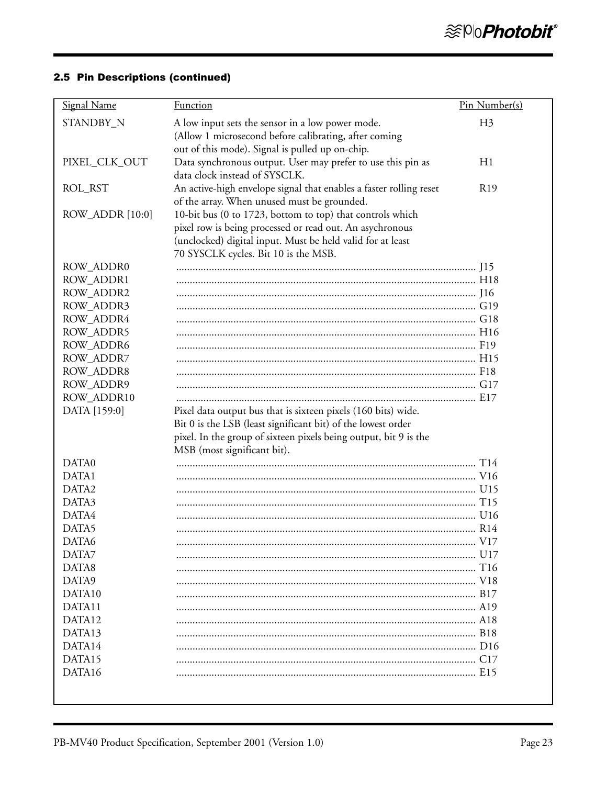| <b>Signal Name</b> | <b>Function</b>                                                                                 | Pin Number(s)   |
|--------------------|-------------------------------------------------------------------------------------------------|-----------------|
| STANDBY_N          | A low input sets the sensor in a low power mode.                                                | H <sub>3</sub>  |
|                    | (Allow 1 microsecond before calibrating, after coming                                           |                 |
|                    | out of this mode). Signal is pulled up on-chip.                                                 |                 |
| PIXEL_CLK_OUT      | Data synchronous output. User may prefer to use this pin as                                     | H1              |
|                    | data clock instead of SYSCLK.                                                                   |                 |
| ROL_RST            | An active-high envelope signal that enables a faster rolling reset                              | R <sub>19</sub> |
|                    | of the array. When unused must be grounded.                                                     |                 |
| ROW_ADDR [10:0]    | 10-bit bus (0 to 1723, bottom to top) that controls which                                       |                 |
|                    | pixel row is being processed or read out. An asychronous                                        |                 |
|                    | (unclocked) digital input. Must be held valid for at least                                      |                 |
|                    | 70 SYSCLK cycles. Bit 10 is the MSB.                                                            |                 |
| ROW_ADDR0          |                                                                                                 |                 |
| ROW_ADDR1          |                                                                                                 |                 |
| ROW_ADDR2          |                                                                                                 |                 |
| ROW_ADDR3          |                                                                                                 |                 |
| ROW_ADDR4          |                                                                                                 |                 |
| <b>ROW ADDR5</b>   |                                                                                                 |                 |
| ROW_ADDR6          |                                                                                                 |                 |
| ROW_ADDR7          |                                                                                                 |                 |
| ROW_ADDR8          |                                                                                                 |                 |
| ROW_ADDR9          |                                                                                                 |                 |
| ROW_ADDR10         |                                                                                                 |                 |
| DATA [159:0]       | Pixel data output bus that is sixteen pixels (160 bits) wide.                                   |                 |
|                    | Bit 0 is the LSB (least significant bit) of the lowest order                                    |                 |
|                    | pixel. In the group of sixteen pixels being output, bit 9 is the<br>MSB (most significant bit). |                 |
| DATA0              |                                                                                                 |                 |
| DATA1              |                                                                                                 |                 |
| DATA2              |                                                                                                 |                 |
| DATA3              |                                                                                                 |                 |
| DATA4              |                                                                                                 |                 |
| DATA5              |                                                                                                 |                 |
| DATA6              |                                                                                                 |                 |
| DATA7              |                                                                                                 |                 |
| DATA8              |                                                                                                 |                 |
| DATA9              |                                                                                                 |                 |
| DATA10             |                                                                                                 |                 |
| DATA11             |                                                                                                 |                 |
| DATA12             |                                                                                                 |                 |
| DATA13             |                                                                                                 |                 |
| DATA14             |                                                                                                 |                 |
| DATA15             |                                                                                                 |                 |
| DATA16             |                                                                                                 |                 |
|                    |                                                                                                 |                 |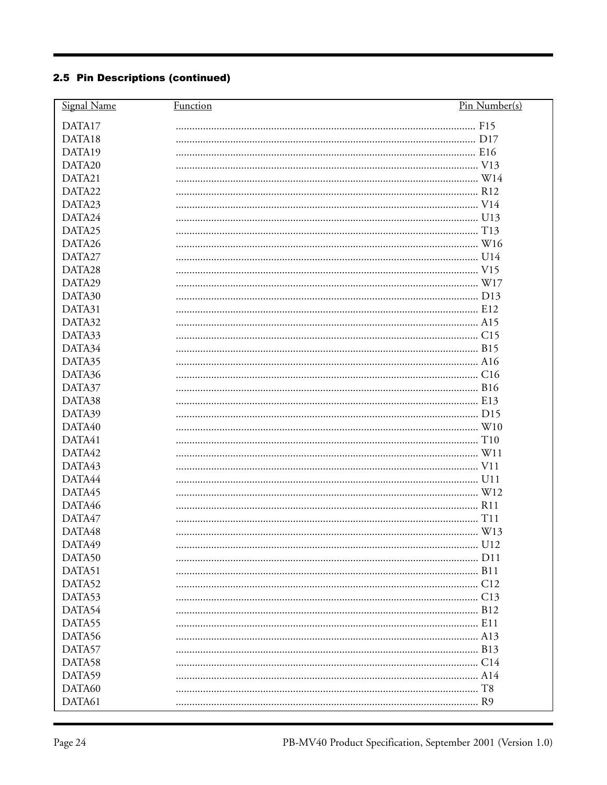| DATA17<br>DATA18<br>DATA19<br>DATA20<br>DATA21<br>DATA22<br>DATA23<br>DATA24<br>DATA25<br>DATA26<br>DATA27<br>DATA28<br>DATA29<br>DATA30<br>DATA31<br>DATA32<br>DATA33<br>DATA34<br>DATA35<br>DATA36<br>DATA37<br>DATA38<br>DATA39<br>DATA40<br>DATA41<br>DATA42<br>DATA43<br>DATA44<br>DATA45<br>DATA46<br>DATA47<br>DATA48<br>DATA49<br>DATA50<br>DATA51<br>DATA52<br>DATA53<br>DATA54<br>DATA55<br>DATA56<br>DATA57<br>DATA58<br>DATA59<br>DATA60<br>DATA61 | Signal Name | Function | Pin Number(s) |
|----------------------------------------------------------------------------------------------------------------------------------------------------------------------------------------------------------------------------------------------------------------------------------------------------------------------------------------------------------------------------------------------------------------------------------------------------------------|-------------|----------|---------------|
|                                                                                                                                                                                                                                                                                                                                                                                                                                                                |             |          |               |
|                                                                                                                                                                                                                                                                                                                                                                                                                                                                |             |          |               |
|                                                                                                                                                                                                                                                                                                                                                                                                                                                                |             |          |               |
|                                                                                                                                                                                                                                                                                                                                                                                                                                                                |             |          |               |
|                                                                                                                                                                                                                                                                                                                                                                                                                                                                |             |          |               |
|                                                                                                                                                                                                                                                                                                                                                                                                                                                                |             |          |               |
|                                                                                                                                                                                                                                                                                                                                                                                                                                                                |             |          |               |
|                                                                                                                                                                                                                                                                                                                                                                                                                                                                |             |          |               |
|                                                                                                                                                                                                                                                                                                                                                                                                                                                                |             |          |               |
|                                                                                                                                                                                                                                                                                                                                                                                                                                                                |             |          |               |
|                                                                                                                                                                                                                                                                                                                                                                                                                                                                |             |          |               |
|                                                                                                                                                                                                                                                                                                                                                                                                                                                                |             |          |               |
|                                                                                                                                                                                                                                                                                                                                                                                                                                                                |             |          |               |
|                                                                                                                                                                                                                                                                                                                                                                                                                                                                |             |          |               |
|                                                                                                                                                                                                                                                                                                                                                                                                                                                                |             |          |               |
|                                                                                                                                                                                                                                                                                                                                                                                                                                                                |             |          |               |
|                                                                                                                                                                                                                                                                                                                                                                                                                                                                |             |          |               |
|                                                                                                                                                                                                                                                                                                                                                                                                                                                                |             |          |               |
|                                                                                                                                                                                                                                                                                                                                                                                                                                                                |             |          |               |
|                                                                                                                                                                                                                                                                                                                                                                                                                                                                |             |          |               |
|                                                                                                                                                                                                                                                                                                                                                                                                                                                                |             |          |               |
|                                                                                                                                                                                                                                                                                                                                                                                                                                                                |             |          |               |
|                                                                                                                                                                                                                                                                                                                                                                                                                                                                |             |          |               |
|                                                                                                                                                                                                                                                                                                                                                                                                                                                                |             |          |               |
|                                                                                                                                                                                                                                                                                                                                                                                                                                                                |             |          |               |
|                                                                                                                                                                                                                                                                                                                                                                                                                                                                |             |          |               |
|                                                                                                                                                                                                                                                                                                                                                                                                                                                                |             |          |               |
|                                                                                                                                                                                                                                                                                                                                                                                                                                                                |             |          |               |
|                                                                                                                                                                                                                                                                                                                                                                                                                                                                |             |          |               |
|                                                                                                                                                                                                                                                                                                                                                                                                                                                                |             |          |               |
|                                                                                                                                                                                                                                                                                                                                                                                                                                                                |             |          |               |
|                                                                                                                                                                                                                                                                                                                                                                                                                                                                |             |          |               |
|                                                                                                                                                                                                                                                                                                                                                                                                                                                                |             |          |               |
|                                                                                                                                                                                                                                                                                                                                                                                                                                                                |             |          |               |
|                                                                                                                                                                                                                                                                                                                                                                                                                                                                |             |          |               |
|                                                                                                                                                                                                                                                                                                                                                                                                                                                                |             |          |               |
|                                                                                                                                                                                                                                                                                                                                                                                                                                                                |             |          |               |
|                                                                                                                                                                                                                                                                                                                                                                                                                                                                |             |          |               |
|                                                                                                                                                                                                                                                                                                                                                                                                                                                                |             |          |               |
|                                                                                                                                                                                                                                                                                                                                                                                                                                                                |             |          |               |
|                                                                                                                                                                                                                                                                                                                                                                                                                                                                |             |          |               |
|                                                                                                                                                                                                                                                                                                                                                                                                                                                                |             |          |               |
|                                                                                                                                                                                                                                                                                                                                                                                                                                                                |             |          |               |
|                                                                                                                                                                                                                                                                                                                                                                                                                                                                |             |          |               |
|                                                                                                                                                                                                                                                                                                                                                                                                                                                                |             |          |               |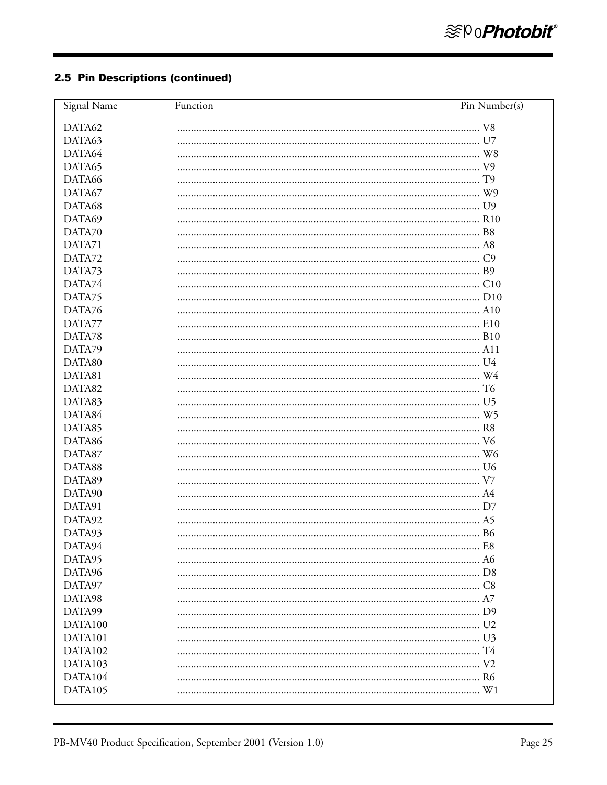| Signal Name | <b>Function</b> | Pin Number(s) |
|-------------|-----------------|---------------|
| DATA62      |                 |               |
| DATA63      |                 |               |
| DATA64      |                 |               |
| DATA65      |                 |               |
| DATA66      |                 |               |
| DATA67      |                 |               |
| DATA68      |                 |               |
| DATA69      |                 |               |
| DATA70      |                 |               |
| DATA71      |                 |               |
| DATA72      |                 |               |
| DATA73      |                 |               |
| DATA74      |                 |               |
| DATA75      |                 |               |
| DATA76      |                 |               |
| DATA77      |                 |               |
| DATA78      |                 |               |
| DATA79      |                 |               |
| DATA80      |                 |               |
| DATA81      |                 |               |
| DATA82      |                 |               |
| DATA83      |                 |               |
| DATA84      |                 |               |
| DATA85      |                 |               |
| DATA86      |                 |               |
| DATA87      |                 |               |
| DATA88      |                 |               |
| DATA89      |                 |               |
| DATA90      |                 |               |
| DATA91      |                 |               |
| DATA92      |                 |               |
| DATA93      |                 |               |
| DATA94      |                 |               |
| DATA95      |                 |               |
| DATA96      |                 |               |
| DATA97      |                 |               |
| DATA98      |                 |               |
| DATA99      |                 |               |
| DATA100     |                 |               |
| DATA101     |                 |               |
| DATA102     |                 |               |
| DATA103     |                 |               |
| DATA104     |                 |               |
| DATA105     |                 |               |
|             |                 |               |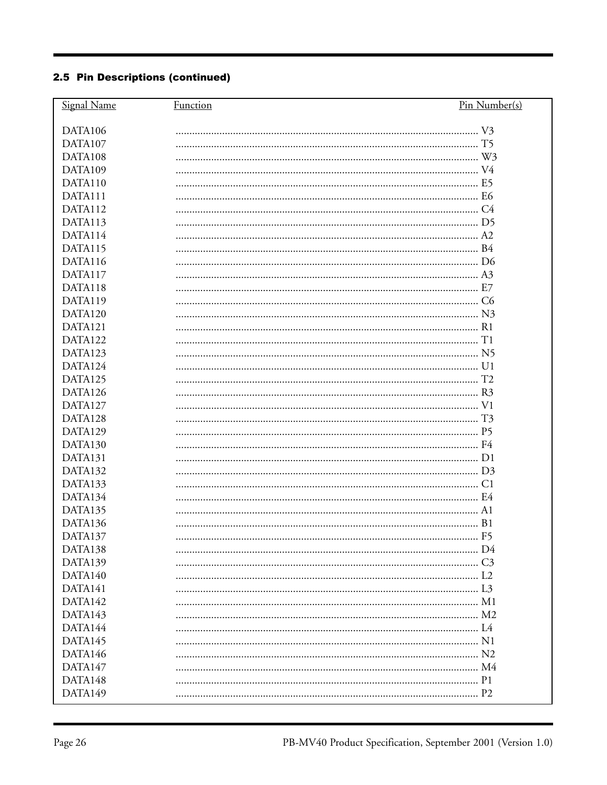| DATA106<br>DATA107<br>DATA108<br>DATA109<br>DATA110<br>DATA111<br>DATA112<br>DATA113<br>DATA114<br>DATA115<br>DATA116<br>DATA117<br>DATA118<br>DATA119<br>DATA120<br>DATA121<br>DATA122<br>DATA123<br>DATA124<br>DATA125<br>DATA126<br>DATA127<br>DATA128<br>DATA129<br>DATA130<br>DATA131<br>DATA132<br>DATA133<br>DATA134<br>DATA135<br>DATA136<br>DATA137<br>DATA138<br>DATA139<br>DATA140<br>DATA141<br>DATA142<br>DATA143<br>DATA144<br>DATA145<br>DATA146<br>DATA147<br>DATA148<br>DATA149 | Signal Name | Function | Pin Number(s) |
|--------------------------------------------------------------------------------------------------------------------------------------------------------------------------------------------------------------------------------------------------------------------------------------------------------------------------------------------------------------------------------------------------------------------------------------------------------------------------------------------------|-------------|----------|---------------|
|                                                                                                                                                                                                                                                                                                                                                                                                                                                                                                  |             |          |               |
|                                                                                                                                                                                                                                                                                                                                                                                                                                                                                                  |             |          |               |
|                                                                                                                                                                                                                                                                                                                                                                                                                                                                                                  |             |          |               |
|                                                                                                                                                                                                                                                                                                                                                                                                                                                                                                  |             |          |               |
|                                                                                                                                                                                                                                                                                                                                                                                                                                                                                                  |             |          |               |
|                                                                                                                                                                                                                                                                                                                                                                                                                                                                                                  |             |          |               |
|                                                                                                                                                                                                                                                                                                                                                                                                                                                                                                  |             |          |               |
|                                                                                                                                                                                                                                                                                                                                                                                                                                                                                                  |             |          |               |
|                                                                                                                                                                                                                                                                                                                                                                                                                                                                                                  |             |          |               |
|                                                                                                                                                                                                                                                                                                                                                                                                                                                                                                  |             |          |               |
|                                                                                                                                                                                                                                                                                                                                                                                                                                                                                                  |             |          |               |
|                                                                                                                                                                                                                                                                                                                                                                                                                                                                                                  |             |          |               |
|                                                                                                                                                                                                                                                                                                                                                                                                                                                                                                  |             |          |               |
|                                                                                                                                                                                                                                                                                                                                                                                                                                                                                                  |             |          |               |
|                                                                                                                                                                                                                                                                                                                                                                                                                                                                                                  |             |          |               |
|                                                                                                                                                                                                                                                                                                                                                                                                                                                                                                  |             |          |               |
|                                                                                                                                                                                                                                                                                                                                                                                                                                                                                                  |             |          |               |
|                                                                                                                                                                                                                                                                                                                                                                                                                                                                                                  |             |          |               |
|                                                                                                                                                                                                                                                                                                                                                                                                                                                                                                  |             |          |               |
|                                                                                                                                                                                                                                                                                                                                                                                                                                                                                                  |             |          |               |
|                                                                                                                                                                                                                                                                                                                                                                                                                                                                                                  |             |          |               |
|                                                                                                                                                                                                                                                                                                                                                                                                                                                                                                  |             |          |               |
|                                                                                                                                                                                                                                                                                                                                                                                                                                                                                                  |             |          |               |
|                                                                                                                                                                                                                                                                                                                                                                                                                                                                                                  |             |          |               |
|                                                                                                                                                                                                                                                                                                                                                                                                                                                                                                  |             |          |               |
|                                                                                                                                                                                                                                                                                                                                                                                                                                                                                                  |             |          |               |
|                                                                                                                                                                                                                                                                                                                                                                                                                                                                                                  |             |          |               |
|                                                                                                                                                                                                                                                                                                                                                                                                                                                                                                  |             |          |               |
|                                                                                                                                                                                                                                                                                                                                                                                                                                                                                                  |             |          |               |
|                                                                                                                                                                                                                                                                                                                                                                                                                                                                                                  |             |          |               |
|                                                                                                                                                                                                                                                                                                                                                                                                                                                                                                  |             |          |               |
|                                                                                                                                                                                                                                                                                                                                                                                                                                                                                                  |             |          |               |
|                                                                                                                                                                                                                                                                                                                                                                                                                                                                                                  |             |          |               |
|                                                                                                                                                                                                                                                                                                                                                                                                                                                                                                  |             |          |               |
|                                                                                                                                                                                                                                                                                                                                                                                                                                                                                                  |             |          |               |
|                                                                                                                                                                                                                                                                                                                                                                                                                                                                                                  |             |          |               |
|                                                                                                                                                                                                                                                                                                                                                                                                                                                                                                  |             |          |               |
|                                                                                                                                                                                                                                                                                                                                                                                                                                                                                                  |             |          |               |
|                                                                                                                                                                                                                                                                                                                                                                                                                                                                                                  |             |          |               |
|                                                                                                                                                                                                                                                                                                                                                                                                                                                                                                  |             |          |               |
|                                                                                                                                                                                                                                                                                                                                                                                                                                                                                                  |             |          |               |
|                                                                                                                                                                                                                                                                                                                                                                                                                                                                                                  |             |          |               |
|                                                                                                                                                                                                                                                                                                                                                                                                                                                                                                  |             |          |               |
|                                                                                                                                                                                                                                                                                                                                                                                                                                                                                                  |             |          |               |
|                                                                                                                                                                                                                                                                                                                                                                                                                                                                                                  |             |          |               |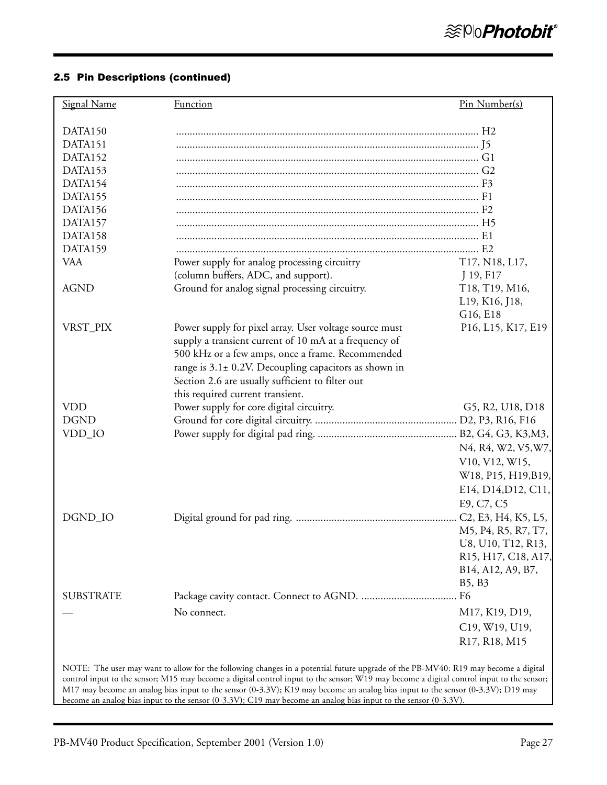| Signal Name      | <b>Function</b>                                                                                                                                                                                                                                                               | Pin Number(s)       |
|------------------|-------------------------------------------------------------------------------------------------------------------------------------------------------------------------------------------------------------------------------------------------------------------------------|---------------------|
| DATA150          |                                                                                                                                                                                                                                                                               |                     |
| DATA151          |                                                                                                                                                                                                                                                                               |                     |
| DATA152          |                                                                                                                                                                                                                                                                               |                     |
| DATA153          |                                                                                                                                                                                                                                                                               |                     |
| DATA154          |                                                                                                                                                                                                                                                                               |                     |
| DATA155          |                                                                                                                                                                                                                                                                               |                     |
| DATA156          |                                                                                                                                                                                                                                                                               |                     |
| DATA157          |                                                                                                                                                                                                                                                                               |                     |
| DATA158          |                                                                                                                                                                                                                                                                               |                     |
| DATA159          |                                                                                                                                                                                                                                                                               |                     |
| <b>VAA</b>       | Power supply for analog processing circuitry                                                                                                                                                                                                                                  | T17, N18, L17,      |
|                  | (column buffers, ADC, and support).                                                                                                                                                                                                                                           | J 19, F17           |
| <b>AGND</b>      | Ground for analog signal processing circuitry.                                                                                                                                                                                                                                | T18, T19, M16,      |
|                  |                                                                                                                                                                                                                                                                               | L19, K16, J18,      |
|                  |                                                                                                                                                                                                                                                                               | G16, E18            |
| VRST_PIX         | Power supply for pixel array. User voltage source must                                                                                                                                                                                                                        | P16, L15, K17, E19  |
|                  | supply a transient current of 10 mA at a frequency of                                                                                                                                                                                                                         |                     |
|                  | 500 kHz or a few amps, once a frame. Recommended                                                                                                                                                                                                                              |                     |
|                  | range is $3.1\pm0.2$ V. Decoupling capacitors as shown in                                                                                                                                                                                                                     |                     |
|                  | Section 2.6 are usually sufficient to filter out                                                                                                                                                                                                                              |                     |
|                  | this required current transient.                                                                                                                                                                                                                                              |                     |
| <b>VDD</b>       | Power supply for core digital circuitry.                                                                                                                                                                                                                                      | G5, R2, U18, D18    |
| <b>DGND</b>      |                                                                                                                                                                                                                                                                               |                     |
| VDD_IO           |                                                                                                                                                                                                                                                                               |                     |
|                  |                                                                                                                                                                                                                                                                               | N4, R4, W2, V5, W7, |
|                  |                                                                                                                                                                                                                                                                               | V10, V12, W15,      |
|                  |                                                                                                                                                                                                                                                                               | W18, P15, H19, B19, |
|                  |                                                                                                                                                                                                                                                                               | E14, D14, D12, C11, |
|                  |                                                                                                                                                                                                                                                                               |                     |
|                  |                                                                                                                                                                                                                                                                               | E9, C7, C5          |
| DGND_IO          |                                                                                                                                                                                                                                                                               |                     |
|                  |                                                                                                                                                                                                                                                                               | M5, P4, R5, R7, T7, |
|                  |                                                                                                                                                                                                                                                                               | U8, U10, T12, R13,  |
|                  |                                                                                                                                                                                                                                                                               | R15, H17, C18, A17, |
|                  |                                                                                                                                                                                                                                                                               | B14, A12, A9, B7,   |
|                  |                                                                                                                                                                                                                                                                               | B5, B3              |
| <b>SUBSTRATE</b> |                                                                                                                                                                                                                                                                               |                     |
|                  | No connect.                                                                                                                                                                                                                                                                   | M17, K19, D19,      |
|                  |                                                                                                                                                                                                                                                                               | C19, W19, U19,      |
|                  |                                                                                                                                                                                                                                                                               | R17, R18, M15       |
|                  |                                                                                                                                                                                                                                                                               |                     |
|                  | NOTE: The user may want to allow for the following changes in a potential future upgrade of the PB-MV40: R19 may become a digital<br>control input to the sensor; M15 may become a digital control input to the sensor; W19 may become a digital control input to the sensor; |                     |
|                  | M17 may become an analog bias input to the sensor (0-3.3V); K19 may become an analog bias input to the sensor (0-3.3V); D19 may                                                                                                                                               |                     |

become an analog bias input to the sensor (0-3.3V); C19 may become an analog bias input to the sensor (0-3.3V).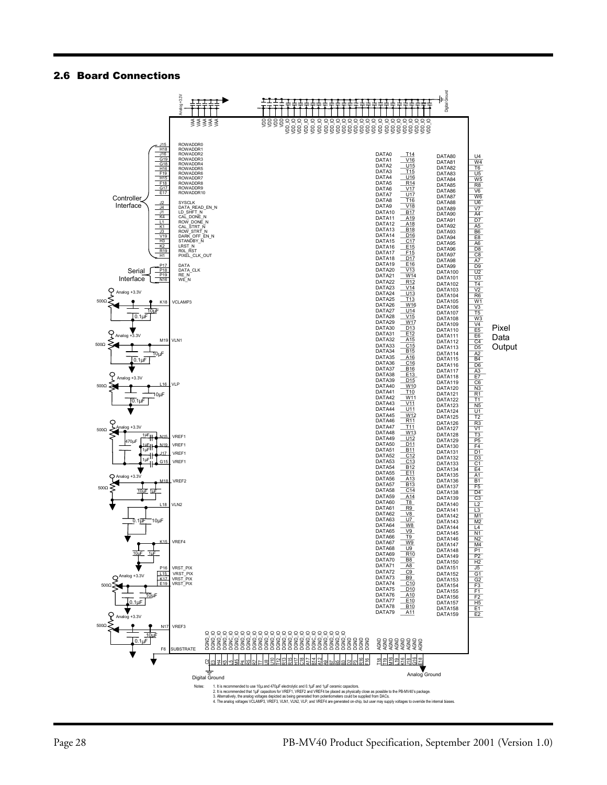#### 2.6 Board Connections

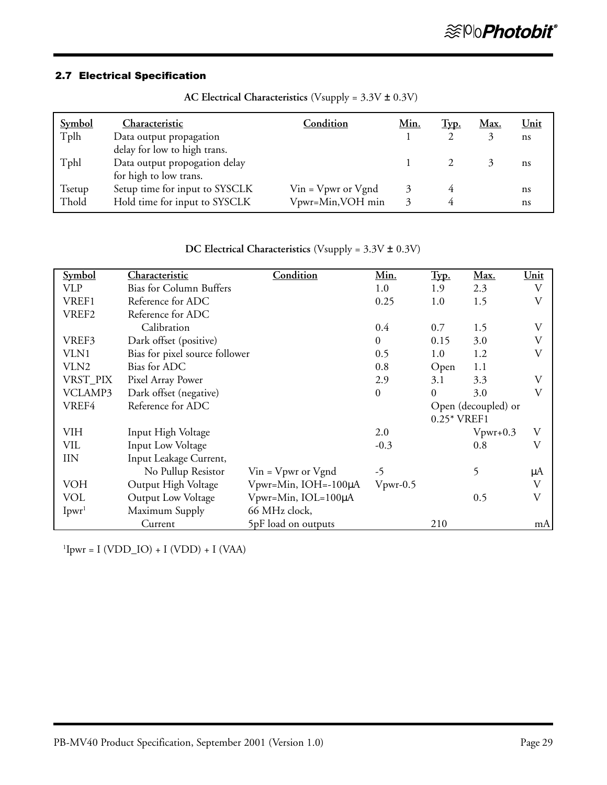# 2.7 Electrical Specification

| <b>Symbol</b> | Characteristic                 | Condition                   | <u>Min.</u> | <u>Typ.</u> | <u>Max.</u> | <u>Unit</u> |
|---------------|--------------------------------|-----------------------------|-------------|-------------|-------------|-------------|
| Tplh          | Data output propagation        |                             |             |             |             | ns          |
|               | delay for low to high trans.   |                             |             |             |             |             |
| Tphl          | Data output propogation delay  |                             |             |             |             | ns          |
|               | for high to low trans.         |                             |             |             |             |             |
| Tsetup        | Setup time for input to SYSCLK | $V$ in = $V$ pwr or $V$ gnd |             |             |             | ns          |
| Thold         | Hold time for input to SYSCLK  | Vpwr=Min, VOH min           |             |             |             | ns          |

**AC Electrical Characteristics** (Vsupply = 3.3V ± 0.3V)

| DC Electrical Characteristics (Vsupply = $3.5V \pm 0.5V$ ) |                                |                             |                  |              |                     |      |
|------------------------------------------------------------|--------------------------------|-----------------------------|------------------|--------------|---------------------|------|
| Symbol                                                     | Characteristic                 | Condition                   | Min.             | Typ.         | Max.                | Unit |
| <b>VLP</b>                                                 | <b>Bias for Column Buffers</b> |                             | 1.0              | 1.9          | 2.3                 | V    |
| VREF1                                                      | Reference for ADC              |                             | 0.25             | 1.0          | 1.5                 | V    |
| VREF2                                                      | Reference for ADC              |                             |                  |              |                     |      |
|                                                            | Calibration                    |                             | 0.4              | 0.7          | 1.5                 | V    |
| VREF3                                                      | Dark offset (positive)         |                             | $\boldsymbol{0}$ | 0.15         | 3.0                 | V    |
| VLN1                                                       | Bias for pixel source follower |                             | 0.5              | 1.0          | 1.2                 | V    |
| VLN2                                                       | Bias for ADC                   |                             | 0.8              | Open         | 1.1                 |      |
| VRST_PIX                                                   | Pixel Array Power              |                             | 2.9              | 3.1          | 3.3                 | V    |
| VCLAMP3                                                    | Dark offset (negative)         |                             | $\boldsymbol{0}$ | $\Omega$     | 3.0                 | V    |
| VREF4                                                      | Reference for ADC              |                             |                  |              | Open (decoupled) or |      |
|                                                            |                                |                             |                  | $0.25*VREF1$ |                     |      |
| <b>VIH</b>                                                 | Input High Voltage             |                             | 2.0              |              | $V$ pwr+0.3         | V    |
| <b>VIL</b>                                                 | <b>Input Low Voltage</b>       |                             | $-0.3$           |              | 0.8                 | V    |
| <b>IIN</b>                                                 | Input Leakage Current,         |                             |                  |              |                     |      |
|                                                            | No Pullup Resistor             | $V$ in = $V$ pwr or $V$ gnd | $-5$             |              | 5                   | μA   |
| <b>VOH</b>                                                 | Output High Voltage            | $Vpwr=Min$ , IOH=-100µA     | $V$ pwr-0.5      |              |                     | V    |
| <b>VOL</b>                                                 | Output Low Voltage             | Vpwr=Min, IOL=100µA         |                  |              | 0.5                 | V    |
| I <sub>pur</sub> <sup>1</sup>                              | Maximum Supply                 | 66 MHz clock,               |                  |              |                     |      |
|                                                            | Current                        | 5pF load on outputs         |                  | 210          |                     | mA   |

**DC Electrical Characteristics** (Vsupply = 3.3V ± 0.3V)

 $\text{11}_{\text{pwr}} = \text{I (VDD\_IO)} + \text{I (VDD)} + \text{I (VAA)}$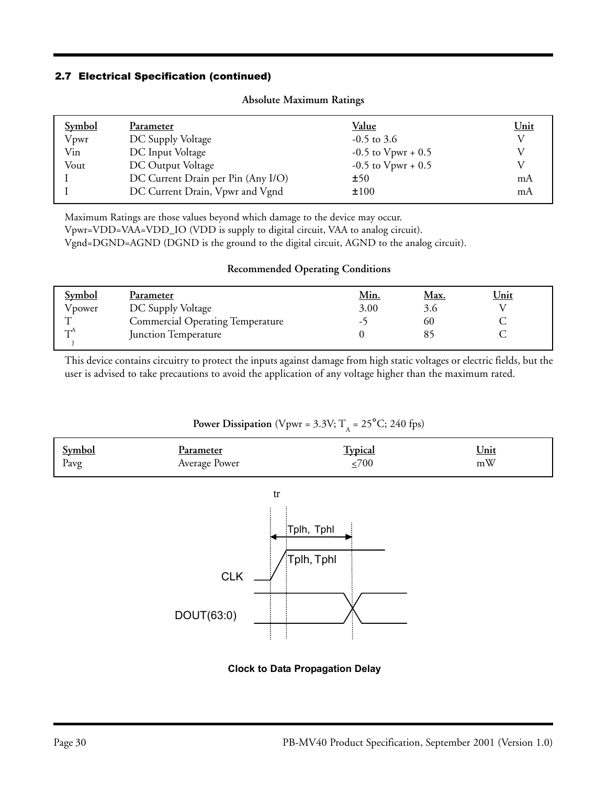### 2.7 Electrical Specification (continued)

| <b>Symbol</b> | Parameter                          | <u>Value</u>            | Unit |
|---------------|------------------------------------|-------------------------|------|
| Vpwr          | DC Supply Voltage                  | $-0.5$ to 3.6           | V    |
| Vin           | DC Input Voltage                   | $-0.5$ to $V$ pwr + 0.5 |      |
| Vout          | DC Output Voltage                  | $-0.5$ to $V$ pwr + 0.5 |      |
|               | DC Current Drain per Pin (Any I/O) | ±50                     | mA   |
|               | DC Current Drain, Vpwr and Vgnd    | ±100                    | mA   |
|               |                                    |                         |      |

#### **Absolute Maximum Ratings**

Maximum Ratings are those values beyond which damage to the device may occur.

Vpwr=VDD=VAA=VDD\_IO (VDD is supply to digital circuit, VAA to analog circuit).

Vgnd=DGND=AGND (DGND is the ground to the digital circuit, AGND to the analog circuit).

### **Recommended Operating Conditions**

| <b>Symbol</b> | Parameter                               | <u>Min.</u> | <u>Max.</u> | <u>Unit</u> |
|---------------|-----------------------------------------|-------------|-------------|-------------|
| Vpower        | DC Supply Voltage                       | 3.00        | 3.6         |             |
|               | <b>Commercial Operating Temperature</b> | - 1         | 60          |             |
| ∼−™           | Junction Temperature                    |             |             |             |
|               |                                         |             |             |             |

This device contains circuitry to protect the inputs against damage from high static voltages or electric fields, but the user is advised to take precautions to avoid the application of any voltage higher than the maximum rated.

# **Power Dissipation** (Vpwr = 3.3V;  $T_A$  = 25°C; 240 fps)

| <u>Symbol</u> | l'arameter    | <b>Typical</b> | <u>Unit</u> |
|---------------|---------------|----------------|-------------|
| Pavg          | Average Power | 700            | mW          |
|               |               |                |             |



### **Clock to Data Propagation Delay**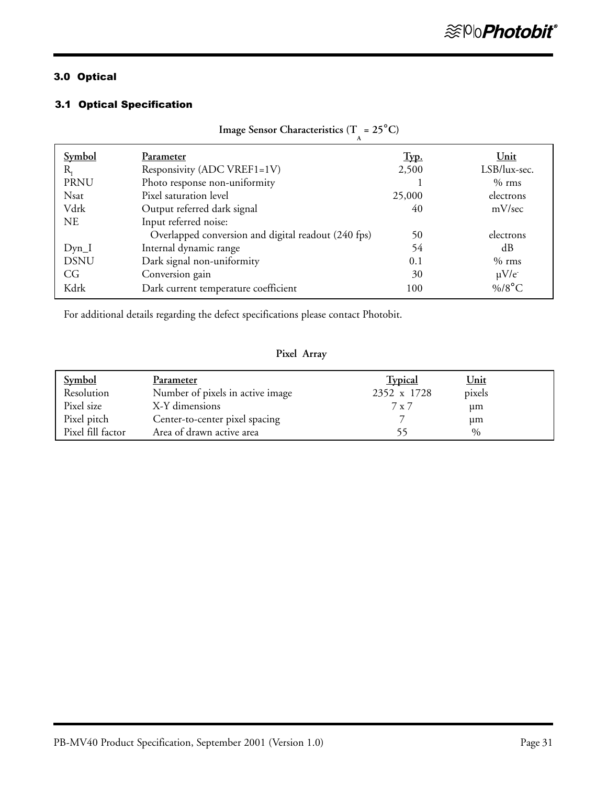# 3.0 Optical

### 3.1 Optical Specification

| Image Sensor Characteristics (T = $25^{\circ}$ C) |                                                     |        |               |
|---------------------------------------------------|-----------------------------------------------------|--------|---------------|
| <b>Symbol</b>                                     | Parameter                                           | Tуp.   | Unit          |
| $R_{\rm r}$                                       | Responsivity (ADC VREF1=1V)                         | 2,500  | LSB/lux-sec.  |
| <b>PRNU</b>                                       | Photo response non-uniformity                       |        | $%$ rms       |
| <b>Nsat</b>                                       | Pixel saturation level                              | 25,000 | electrons     |
| Vdrk                                              | Output referred dark signal                         | 40     | mV/sec        |
| NE.                                               | Input referred noise:                               |        |               |
|                                                   | Overlapped conversion and digital readout (240 fps) | 50     | electrons     |
| $Dyn_I$                                           | Internal dynamic range                              | 54     | dB            |
| <b>DSNU</b>                                       | Dark signal non-uniformity                          | 0.1    | $%$ rms       |
| CG                                                | Conversion gain                                     | 30     | $\mu V/e^{-}$ |
| Kdrk                                              | Dark current temperature coefficient                | 100    | $\%$ /8°C     |

For additional details regarding the defect specifications please contact Photobit.

### **Pixel Array**

| <b>Symbol</b><br>Resolution | Parameter<br>Number of pixels in active image | <b>Typical</b><br>2352 x 1728 | <u>Unit</u><br>pixels |  |
|-----------------------------|-----------------------------------------------|-------------------------------|-----------------------|--|
| Pixel size                  | X-Y dimensions                                | 7 x 7                         | μm                    |  |
| Pixel pitch                 | Center-to-center pixel spacing                |                               | μm                    |  |
| Pixel fill factor           | Area of drawn active area                     |                               | $\frac{0}{0}$         |  |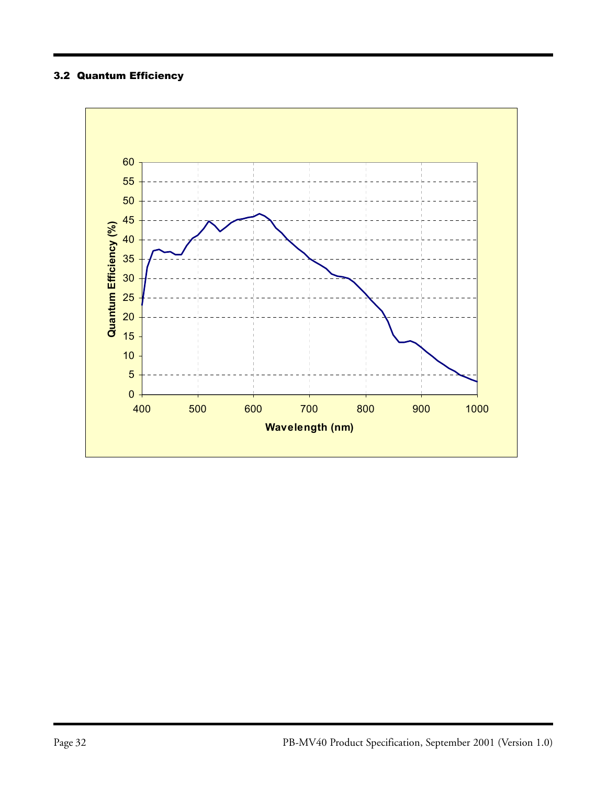# 3.2 Quantum Efficiency

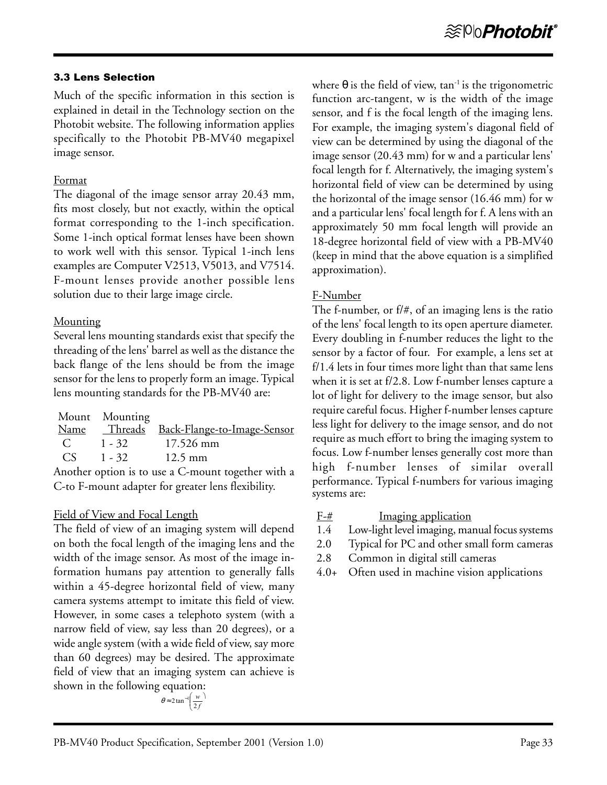### 3.3 Lens Selection

Much of the specific information in this section is explained in detail in the Technology section on the Photobit website. The following information applies specifically to the Photobit PB-MV40 megapixel image sensor.

### Format

The diagonal of the image sensor array 20.43 mm, fits most closely, but not exactly, within the optical format corresponding to the 1-inch specification. Some 1-inch optical format lenses have been shown to work well with this sensor. Typical 1-inch lens examples are Computer V2513, V5013, and V7514. F-mount lenses provide another possible lens solution due to their large image circle.

## **Mounting**

Several lens mounting standards exist that specify the threading of the lens' barrel as well as the distance the back flange of the lens should be from the image sensor for the lens to properly form an image. Typical lens mounting standards for the PB-MV40 are:

|          | Mount Mounting |                                                    |
|----------|----------------|----------------------------------------------------|
|          |                | Name Threads Back-Flange-to-Image-Sensor           |
| C $1-32$ |                | 17.526 mm                                          |
|          | $CS = 1 - 32$  | $12.5 \text{ mm}$                                  |
|          |                | Another option is to use a C-mount together with a |

C-to F-mount adapter for greater lens flexibility.

## Field of View and Focal Length

The field of view of an imaging system will depend on both the focal length of the imaging lens and the width of the image sensor. As most of the image information humans pay attention to generally falls within a 45-degree horizontal field of view, many camera systems attempt to imitate this field of view. However, in some cases a telephoto system (with a narrow field of view, say less than 20 degrees), or a wide angle system (with a wide field of view, say more than 60 degrees) may be desired. The approximate field of view that an imaging system can achieve is shown in the following equation:

$$
\theta \approx 2 \tan^{-1} \left( \frac{w}{2f} \right)
$$

where  $\theta$  is the field of view, tan<sup>-1</sup> is the trigonometric function arc-tangent, w is the width of the image sensor, and f is the focal length of the imaging lens. For example, the imaging system's diagonal field of view can be determined by using the diagonal of the image sensor (20.43 mm) for w and a particular lens' focal length for f. Alternatively, the imaging system's horizontal field of view can be determined by using the horizontal of the image sensor (16.46 mm) for w and a particular lens' focal length for f. A lens with an approximately 50 mm focal length will provide an 18-degree horizontal field of view with a PB-MV40 (keep in mind that the above equation is a simplified approximation).

# F-Number

The f-number, or f/#, of an imaging lens is the ratio of the lens' focal length to its open aperture diameter. Every doubling in f-number reduces the light to the sensor by a factor of four. For example, a lens set at f/1.4 lets in four times more light than that same lens when it is set at f/2.8. Low f-number lenses capture a lot of light for delivery to the image sensor, but also require careful focus. Higher f-number lenses capture less light for delivery to the image sensor, and do not require as much effort to bring the imaging system to focus. Low f-number lenses generally cost more than high f-number lenses of similar overall performance. Typical f-numbers for various imaging systems are:

- $F-\#$  Imaging application
- 1.4 Low-light level imaging, manual focus systems
- 2.0 Typical for PC and other small form cameras
- 2.8 Common in digital still cameras
- 4.0+ Often used in machine vision applications

١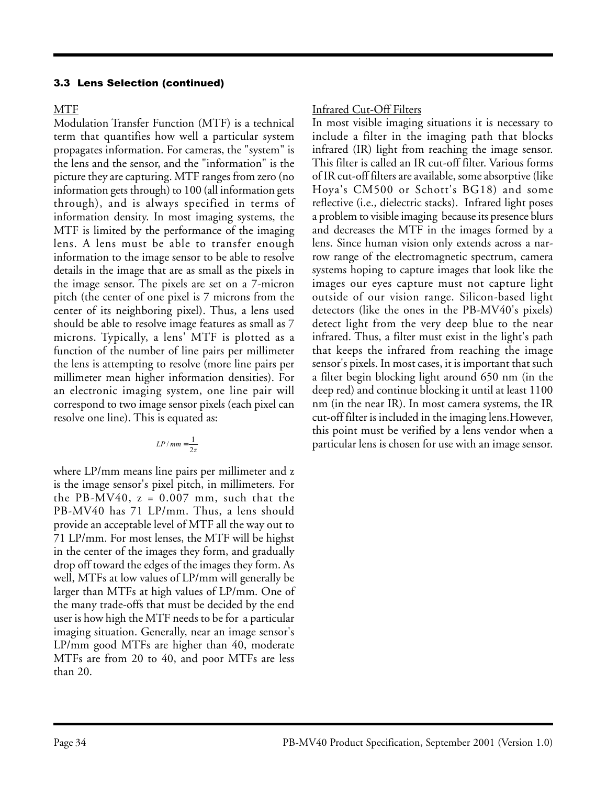### 3.3 Lens Selection (continued)

### MTF

Modulation Transfer Function (MTF) is a technical term that quantifies how well a particular system propagates information. For cameras, the "system" is the lens and the sensor, and the "information" is the picture they are capturing. MTF ranges from zero (no information gets through) to 100 (all information gets through), and is always specified in terms of information density. In most imaging systems, the MTF is limited by the performance of the imaging lens. A lens must be able to transfer enough information to the image sensor to be able to resolve details in the image that are as small as the pixels in the image sensor. The pixels are set on a 7-micron pitch (the center of one pixel is 7 microns from the center of its neighboring pixel). Thus, a lens used should be able to resolve image features as small as 7 microns. Typically, a lens' MTF is plotted as a function of the number of line pairs per millimeter the lens is attempting to resolve (more line pairs per millimeter mean higher information densities). For an electronic imaging system, one line pair will correspond to two image sensor pixels (each pixel can resolve one line). This is equated as:

$$
LP / mm = \frac{1}{2z}
$$

where LP/mm means line pairs per millimeter and z is the image sensor's pixel pitch, in millimeters. For the PB-MV40,  $z = 0.007$  mm, such that the PB-MV40 has 71 LP/mm. Thus, a lens should provide an acceptable level of MTF all the way out to 71 LP/mm. For most lenses, the MTF will be highst in the center of the images they form, and gradually drop off toward the edges of the images they form. As well, MTFs at low values of LP/mm will generally be larger than MTFs at high values of LP/mm. One of the many trade-offs that must be decided by the end user is how high the MTF needs to be for a particular imaging situation. Generally, near an image sensor's LP/mm good MTFs are higher than 40, moderate MTFs are from 20 to 40, and poor MTFs are less than 20.

## Infrared Cut-Off Filters

In most visible imaging situations it is necessary to include a filter in the imaging path that blocks infrared (IR) light from reaching the image sensor. This filter is called an IR cut-off filter. Various forms of IR cut-off filters are available, some absorptive (like Hoya's CM500 or Schott's BG18) and some reflective (i.e., dielectric stacks). Infrared light poses a problem to visible imaging because its presence blurs and decreases the MTF in the images formed by a lens. Since human vision only extends across a narrow range of the electromagnetic spectrum, camera systems hoping to capture images that look like the images our eyes capture must not capture light outside of our vision range. Silicon-based light detectors (like the ones in the PB-MV40's pixels) detect light from the very deep blue to the near infrared. Thus, a filter must exist in the light's path that keeps the infrared from reaching the image sensor's pixels. In most cases, it is important that such a filter begin blocking light around 650 nm (in the deep red) and continue blocking it until at least 1100 nm (in the near IR). In most camera systems, the IR cut-off filter is included in the imaging lens.However, this point must be verified by a lens vendor when a particular lens is chosen for use with an image sensor.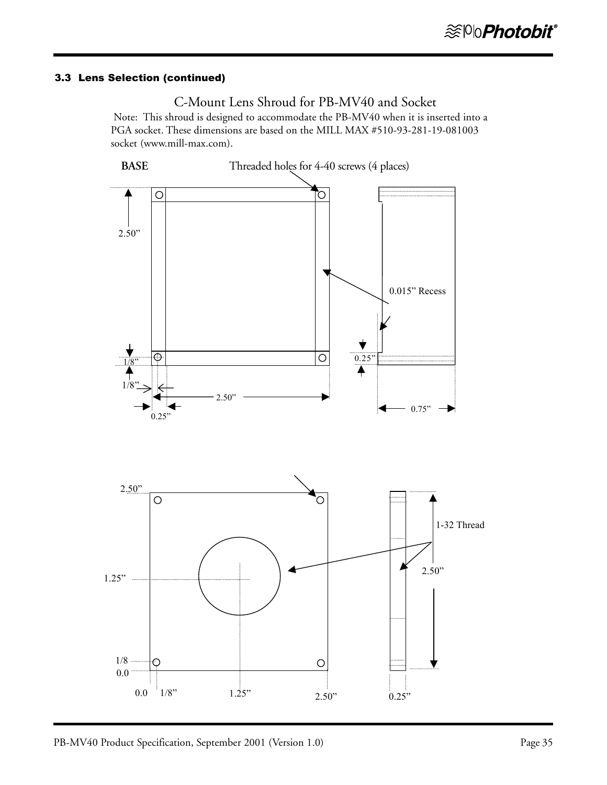# 3.3 Lens Selection (continued)



 Note: This shroud is designed to accommodate the PB-MV40 when it is inserted into a PGA socket. These dimensions are based on the MILL MAX #510-93-281-19-081003 socket (www.mill-max.com).

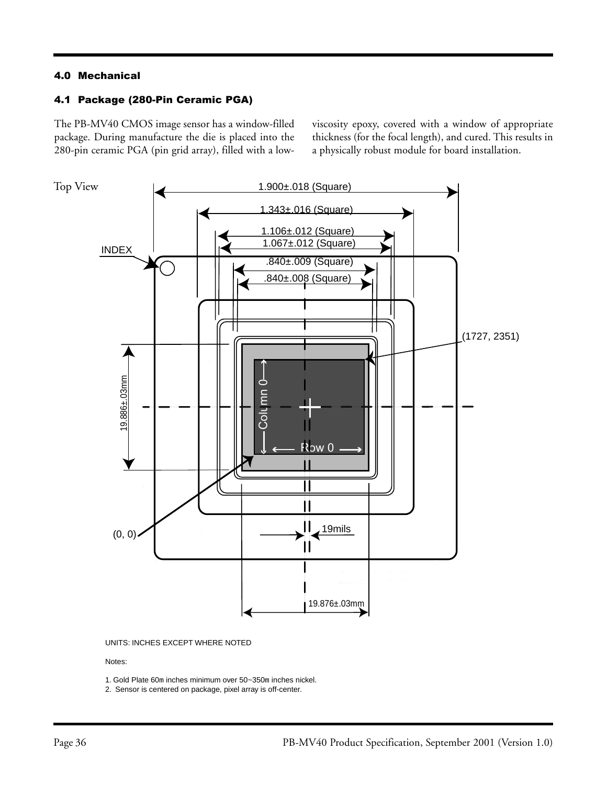### 4.0 Mechanical

### 4.1 Package (280-Pin Ceramic PGA)

The PB-MV40 CMOS image sensor has a window-filled package. During manufacture the die is placed into the 280-pin ceramic PGA (pin grid array), filled with a lowviscosity epoxy, covered with a window of appropriate thickness (for the focal length), and cured. This results in a physically robust module for board installation.





#### Notes:

1. Gold Plate 60m inches minimum over 50~350m inches nickel.

2. Sensor is centered on package, pixel array is off-center.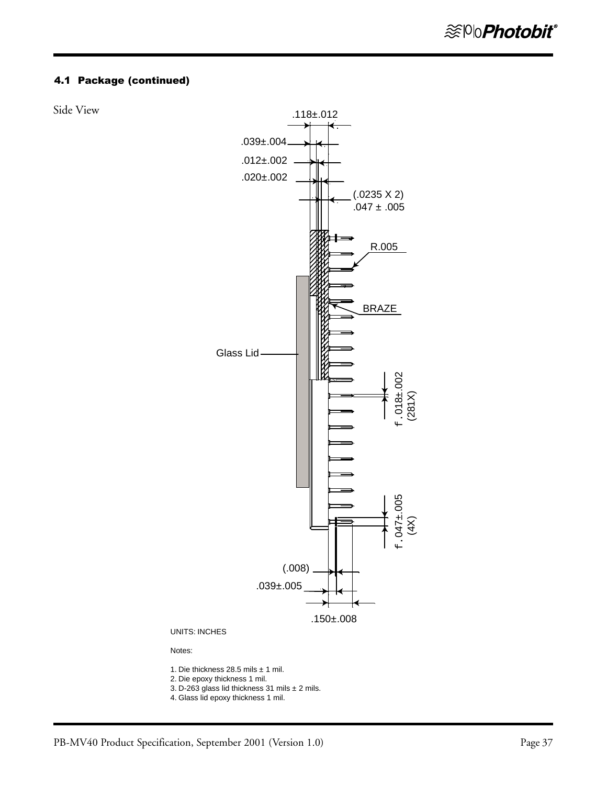### 4.1 Package (continued)

Side View



UNITS: INCHES

Notes:

- 1. Die thickness 28.5 mils ± 1 mil.
- 2. Die epoxy thickness 1 mil.
- 3. D-263 glass lid thickness 31 mils ± 2 mils.
- 4. Glass lid epoxy thickness 1 mil.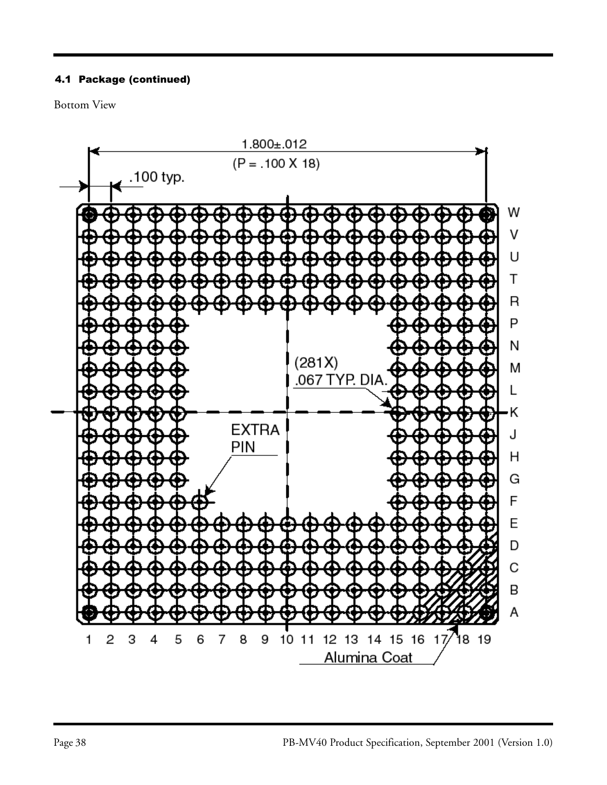# 4.1 Package (continued)

Bottom View